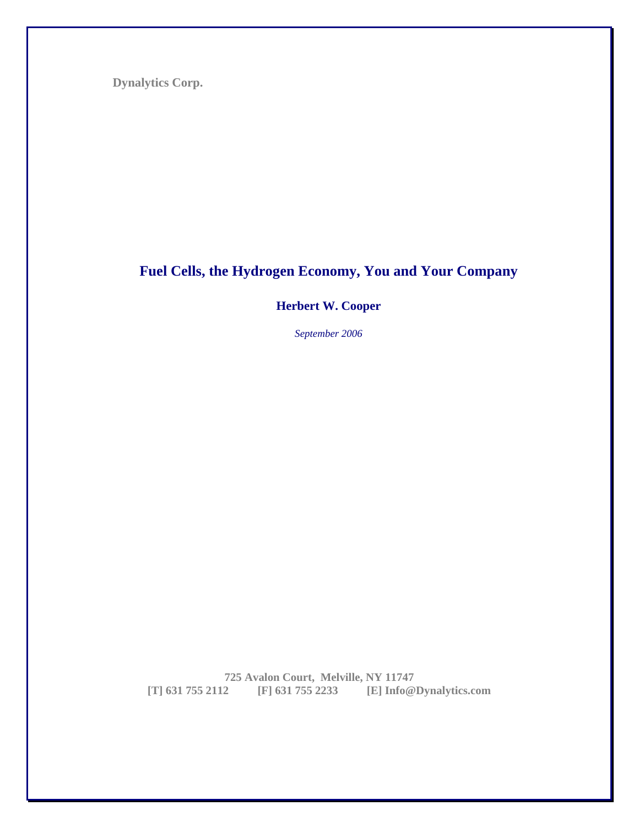**Dynalytics Corp.** 

# **Fuel Cells, the Hydrogen Economy, You and Your Company**

**Herbert W. Cooper** 

*September 2006* 

**725 Avalon Court, Melville, NY 11747 [T] 631 755 2112 [F] 631 755 2233 [E] Info@Dynalytics.com**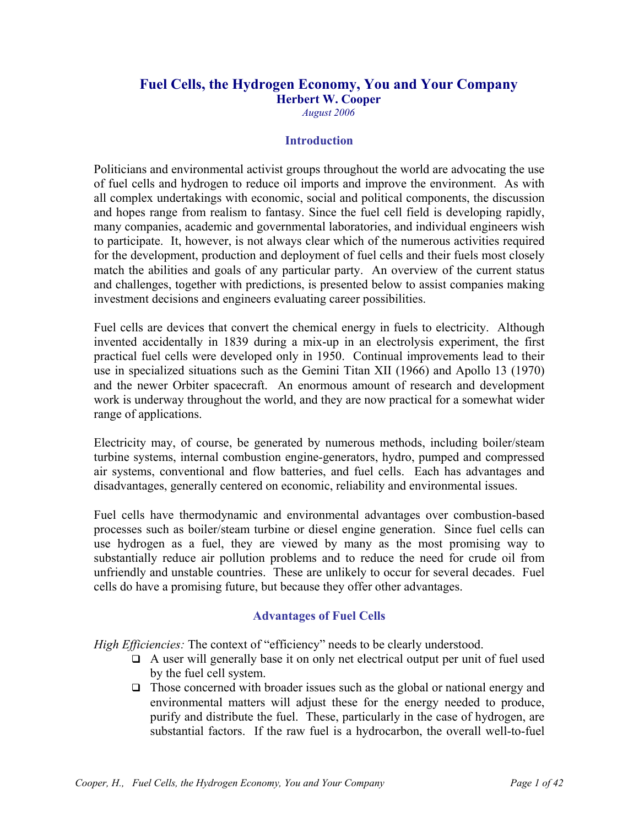# **Fuel Cells, the Hydrogen Economy, You and Your Company**

**Herbert W. Cooper** 

*August 2006* 

#### **Introduction**

Politicians and environmental activist groups throughout the world are advocating the use of fuel cells and hydrogen to reduce oil imports and improve the environment. As with all complex undertakings with economic, social and political components, the discussion and hopes range from realism to fantasy. Since the fuel cell field is developing rapidly, many companies, academic and governmental laboratories, and individual engineers wish to participate. It, however, is not always clear which of the numerous activities required for the development, production and deployment of fuel cells and their fuels most closely match the abilities and goals of any particular party. An overview of the current status and challenges, together with predictions, is presented below to assist companies making investment decisions and engineers evaluating career possibilities.

Fuel cells are devices that convert the chemical energy in fuels to electricity. Although invented accidentally in 1839 during a mix-up in an electrolysis experiment, the first practical fuel cells were developed only in 1950. Continual improvements lead to their use in specialized situations such as the Gemini Titan XII (1966) and Apollo 13 (1970) and the newer Orbiter spacecraft. An enormous amount of research and development work is underway throughout the world, and they are now practical for a somewhat wider range of applications.

Electricity may, of course, be generated by numerous methods, including boiler/steam turbine systems, internal combustion engine-generators, hydro, pumped and compressed air systems, conventional and flow batteries, and fuel cells. Each has advantages and disadvantages, generally centered on economic, reliability and environmental issues.

Fuel cells have thermodynamic and environmental advantages over combustion-based processes such as boiler/steam turbine or diesel engine generation. Since fuel cells can use hydrogen as a fuel, they are viewed by many as the most promising way to substantially reduce air pollution problems and to reduce the need for crude oil from unfriendly and unstable countries. These are unlikely to occur for several decades. Fuel cells do have a promising future, but because they offer other advantages.

#### **Advantages of Fuel Cells**

*High Efficiencies:* The context of "efficiency" needs to be clearly understood.

- $\Box$  A user will generally base it on only net electrical output per unit of fuel used by the fuel cell system.
- $\Box$  Those concerned with broader issues such as the global or national energy and environmental matters will adjust these for the energy needed to produce, purify and distribute the fuel. These, particularly in the case of hydrogen, are substantial factors. If the raw fuel is a hydrocarbon, the overall well-to-fuel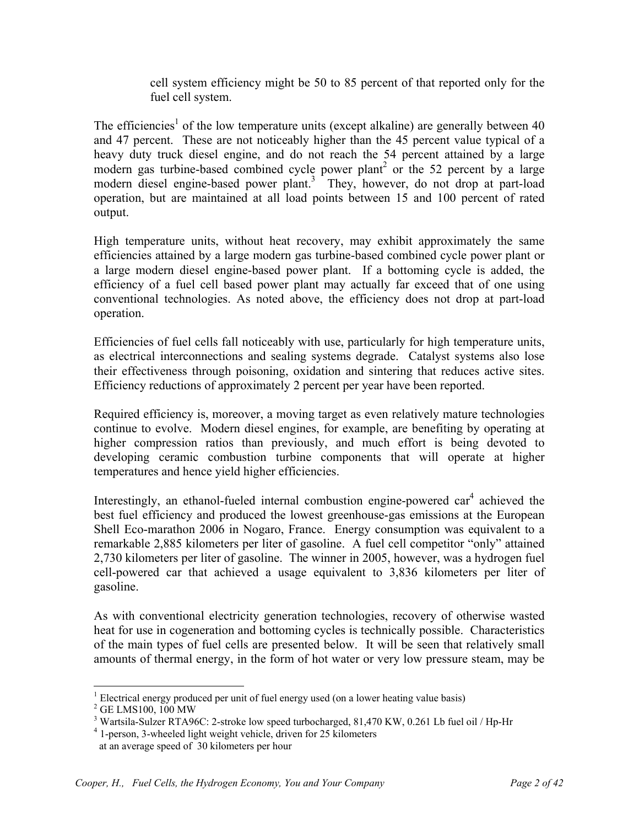cell system efficiency might be 50 to 85 percent of that reported only for the fuel cell system.

The efficiencies<sup>1</sup> of the low temperature units (except alkaline) are generally between 40 and 47 percent. These are not noticeably higher than the 45 percent value typical of a heavy duty truck diesel engine, and do not reach the 54 percent attained by a large modern gas turbine-based combined cycle power plant<sup>2</sup> or the 52 percent by a large modern diesel engine-based power plant.<sup>3</sup> They, however, do not drop at part-load operation, but are maintained at all load points between 15 and 100 percent of rated output.

High temperature units, without heat recovery, may exhibit approximately the same efficiencies attained by a large modern gas turbine-based combined cycle power plant or a large modern diesel engine-based power plant. If a bottoming cycle is added, the efficiency of a fuel cell based power plant may actually far exceed that of one using conventional technologies. As noted above, the efficiency does not drop at part-load operation.

Efficiencies of fuel cells fall noticeably with use, particularly for high temperature units, as electrical interconnections and sealing systems degrade. Catalyst systems also lose their effectiveness through poisoning, oxidation and sintering that reduces active sites. Efficiency reductions of approximately 2 percent per year have been reported.

Required efficiency is, moreover, a moving target as even relatively mature technologies continue to evolve. Modern diesel engines, for example, are benefiting by operating at higher compression ratios than previously, and much effort is being devoted to developing ceramic combustion turbine components that will operate at higher temperatures and hence yield higher efficiencies.

Interestingly, an ethanol-fueled internal combustion engine-powered  $car<sup>4</sup>$  achieved the best fuel efficiency and produced the lowest greenhouse-gas emissions at the European Shell Eco-marathon 2006 in Nogaro, France. Energy consumption was equivalent to a remarkable 2,885 kilometers per liter of gasoline. A fuel cell competitor "only" attained 2,730 kilometers per liter of gasoline. The winner in 2005, however, was a hydrogen fuel cell-powered car that achieved a usage equivalent to 3,836 kilometers per liter of gasoline.

As with conventional electricity generation technologies, recovery of otherwise wasted heat for use in cogeneration and bottoming cycles is technically possible. Characteristics of the main types of fuel cells are presented below. It will be seen that relatively small amounts of thermal energy, in the form of hot water or very low pressure steam, may be

 $\overline{a}$ <sup>1</sup> Electrical energy produced per unit of fuel energy used (on a lower heating value basis)  $^{2}$  CE I MS100, 100 MW

<sup>&</sup>lt;sup>2</sup> GE LMS100, 100 MW

<sup>&</sup>lt;sup>3</sup> Wartsila-Sulzer RTA96C: 2-stroke low speed turbocharged, 81,470 KW, 0.261 Lb fuel oil / Hp-Hr

<sup>4</sup> 1-person, 3-wheeled light weight vehicle, driven for 25 kilometers

at an average speed of 30 kilometers per hour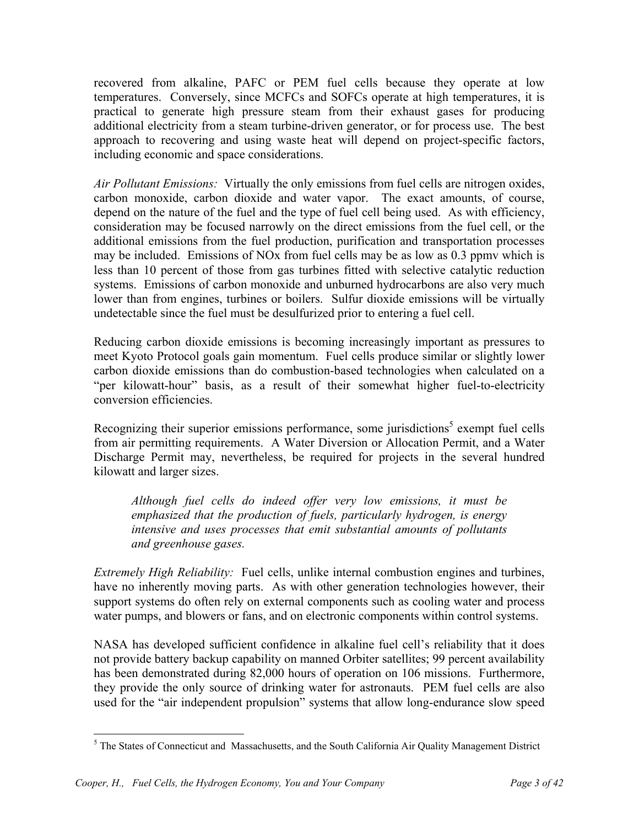recovered from alkaline, PAFC or PEM fuel cells because they operate at low temperatures. Conversely, since MCFCs and SOFCs operate at high temperatures, it is practical to generate high pressure steam from their exhaust gases for producing additional electricity from a steam turbine-driven generator, or for process use. The best approach to recovering and using waste heat will depend on project-specific factors, including economic and space considerations.

*Air Pollutant Emissions:* Virtually the only emissions from fuel cells are nitrogen oxides, carbon monoxide, carbon dioxide and water vapor. The exact amounts, of course, depend on the nature of the fuel and the type of fuel cell being used. As with efficiency, consideration may be focused narrowly on the direct emissions from the fuel cell, or the additional emissions from the fuel production, purification and transportation processes may be included. Emissions of NOx from fuel cells may be as low as 0.3 ppmv which is less than 10 percent of those from gas turbines fitted with selective catalytic reduction systems. Emissions of carbon monoxide and unburned hydrocarbons are also very much lower than from engines, turbines or boilers. Sulfur dioxide emissions will be virtually undetectable since the fuel must be desulfurized prior to entering a fuel cell.

Reducing carbon dioxide emissions is becoming increasingly important as pressures to meet Kyoto Protocol goals gain momentum. Fuel cells produce similar or slightly lower carbon dioxide emissions than do combustion-based technologies when calculated on a "per kilowatt-hour" basis, as a result of their somewhat higher fuel-to-electricity conversion efficiencies.

Recognizing their superior emissions performance, some jurisdictions<sup>5</sup> exempt fuel cells from air permitting requirements. A Water Diversion or Allocation Permit, and a Water Discharge Permit may, nevertheless, be required for projects in the several hundred kilowatt and larger sizes.

*Although fuel cells do indeed offer very low emissions, it must be emphasized that the production of fuels, particularly hydrogen, is energy intensive and uses processes that emit substantial amounts of pollutants and greenhouse gases.* 

*Extremely High Reliability:* Fuel cells, unlike internal combustion engines and turbines, have no inherently moving parts. As with other generation technologies however, their support systems do often rely on external components such as cooling water and process water pumps, and blowers or fans, and on electronic components within control systems.

NASA has developed sufficient confidence in alkaline fuel cell's reliability that it does not provide battery backup capability on manned Orbiter satellites; 99 percent availability has been demonstrated during 82,000 hours of operation on 106 missions. Furthermore, they provide the only source of drinking water for astronauts. PEM fuel cells are also used for the "air independent propulsion" systems that allow long-endurance slow speed

<sup>&</sup>lt;u>.</u> <sup>5</sup> The States of Connecticut and Massachusetts, and the South California Air Quality Management District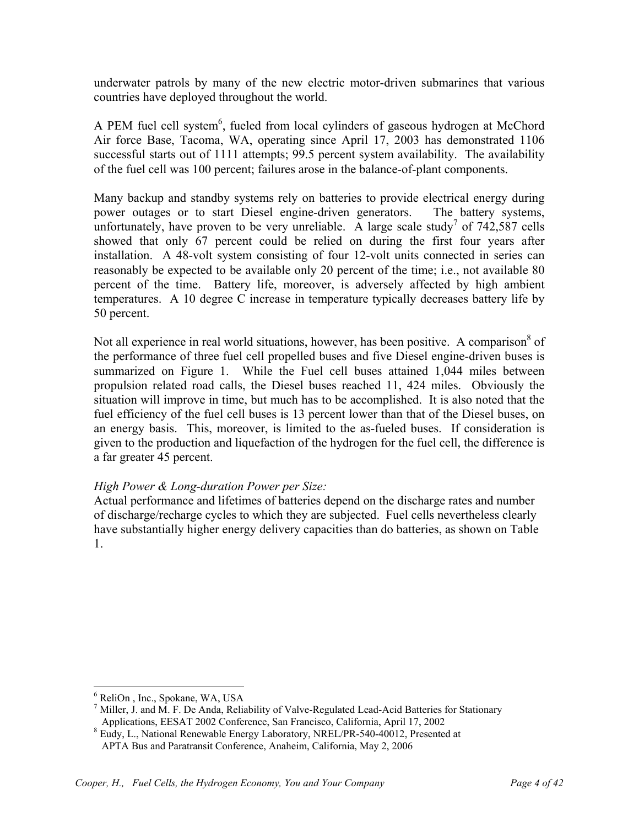underwater patrols by many of the new electric motor-driven submarines that various countries have deployed throughout the world.

A PEM fuel cell system<sup>6</sup>, fueled from local cylinders of gaseous hydrogen at McChord Air force Base, Tacoma, WA, operating since April 17, 2003 has demonstrated 1106 successful starts out of 1111 attempts; 99.5 percent system availability. The availability of the fuel cell was 100 percent; failures arose in the balance-of-plant components.

Many backup and standby systems rely on batteries to provide electrical energy during power outages or to start Diesel engine-driven generators. The battery systems, unfortunately, have proven to be very unreliable. A large scale study<sup>7</sup> of  $742,587$  cells showed that only 67 percent could be relied on during the first four years after installation. A 48-volt system consisting of four 12-volt units connected in series can reasonably be expected to be available only 20 percent of the time; i.e., not available 80 percent of the time. Battery life, moreover, is adversely affected by high ambient temperatures. A 10 degree C increase in temperature typically decreases battery life by 50 percent.

Not all experience in real world situations, however, has been positive. A comparison<sup>8</sup> of the performance of three fuel cell propelled buses and five Diesel engine-driven buses is summarized on Figure 1. While the Fuel cell buses attained 1,044 miles between propulsion related road calls, the Diesel buses reached 11, 424 miles. Obviously the situation will improve in time, but much has to be accomplished. It is also noted that the fuel efficiency of the fuel cell buses is 13 percent lower than that of the Diesel buses, on an energy basis. This, moreover, is limited to the as-fueled buses. If consideration is given to the production and liquefaction of the hydrogen for the fuel cell, the difference is a far greater 45 percent.

# *High Power & Long-duration Power per Size:*

Actual performance and lifetimes of batteries depend on the discharge rates and number of discharge/recharge cycles to which they are subjected. Fuel cells nevertheless clearly have substantially higher energy delivery capacities than do batteries, as shown on Table 1.

 $\overline{a}$ 6 ReliOn , Inc., Spokane, WA, USA

 $^7$  Miller, J. and M. F. De Anda, Reliability of Valve-Regulated Lead-Acid Batteries for Stationary Applications, EESAT 2002 Conference, San Francisco, California, April 17, 2002

<sup>&</sup>lt;sup>8</sup> Eudy, L., National Renewable Energy Laboratory, NREL/PR-540-40012, Presented at APTA Bus and Paratransit Conference, Anaheim, California, May 2, 2006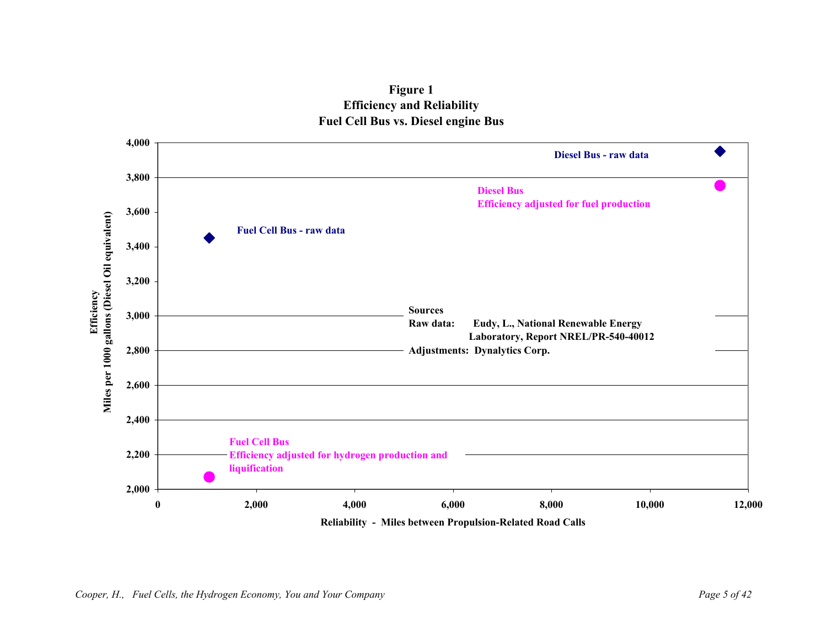

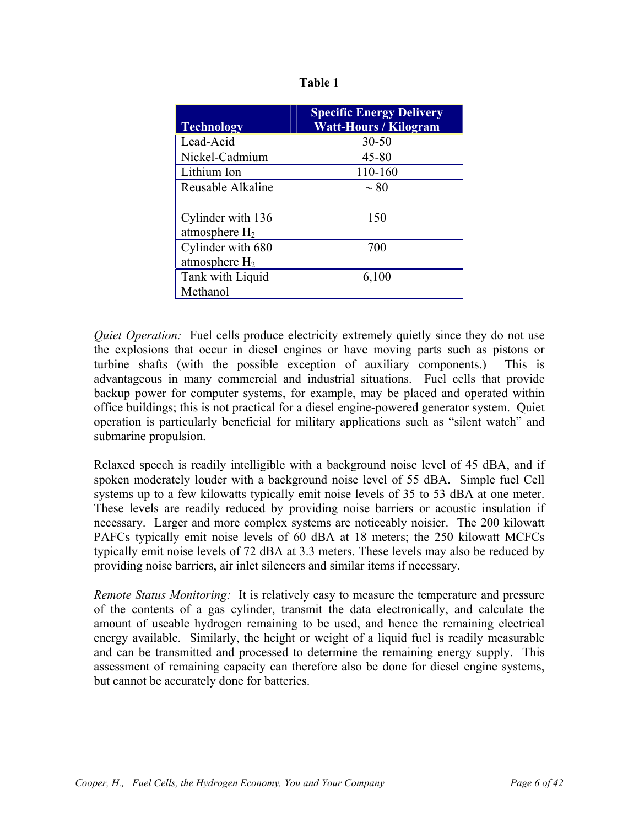| <b>Technology</b> | <b>Specific Energy Delivery</b><br><b>Watt-Hours / Kilogram</b> |
|-------------------|-----------------------------------------------------------------|
| Lead-Acid         | $30 - 50$                                                       |
| Nickel-Cadmium    | $45 - 80$                                                       |
| Lithium Ion       | 110-160                                                         |
| Reusable Alkaline | $\sim 80$                                                       |
|                   |                                                                 |
| Cylinder with 136 | 150                                                             |
| atmosphere $H_2$  |                                                                 |
| Cylinder with 680 | 700                                                             |
| atmosphere $H_2$  |                                                                 |
| Tank with Liquid  | 6,100                                                           |
| Methanol          |                                                                 |

*Quiet Operation:* Fuel cells produce electricity extremely quietly since they do not use the explosions that occur in diesel engines or have moving parts such as pistons or turbine shafts (with the possible exception of auxiliary components.) This is advantageous in many commercial and industrial situations. Fuel cells that provide backup power for computer systems, for example, may be placed and operated within office buildings; this is not practical for a diesel engine-powered generator system. Quiet operation is particularly beneficial for military applications such as "silent watch" and submarine propulsion.

Relaxed speech is readily intelligible with a background noise level of 45 dBA, and if spoken moderately louder with a background noise level of 55 dBA. Simple fuel Cell systems up to a few kilowatts typically emit noise levels of 35 to 53 dBA at one meter. These levels are readily reduced by providing noise barriers or acoustic insulation if necessary. Larger and more complex systems are noticeably noisier. The 200 kilowatt PAFCs typically emit noise levels of 60 dBA at 18 meters; the 250 kilowatt MCFCs typically emit noise levels of 72 dBA at 3.3 meters. These levels may also be reduced by providing noise barriers, air inlet silencers and similar items if necessary.

*Remote Status Monitoring:* It is relatively easy to measure the temperature and pressure of the contents of a gas cylinder, transmit the data electronically, and calculate the amount of useable hydrogen remaining to be used, and hence the remaining electrical energy available. Similarly, the height or weight of a liquid fuel is readily measurable and can be transmitted and processed to determine the remaining energy supply. This assessment of remaining capacity can therefore also be done for diesel engine systems, but cannot be accurately done for batteries.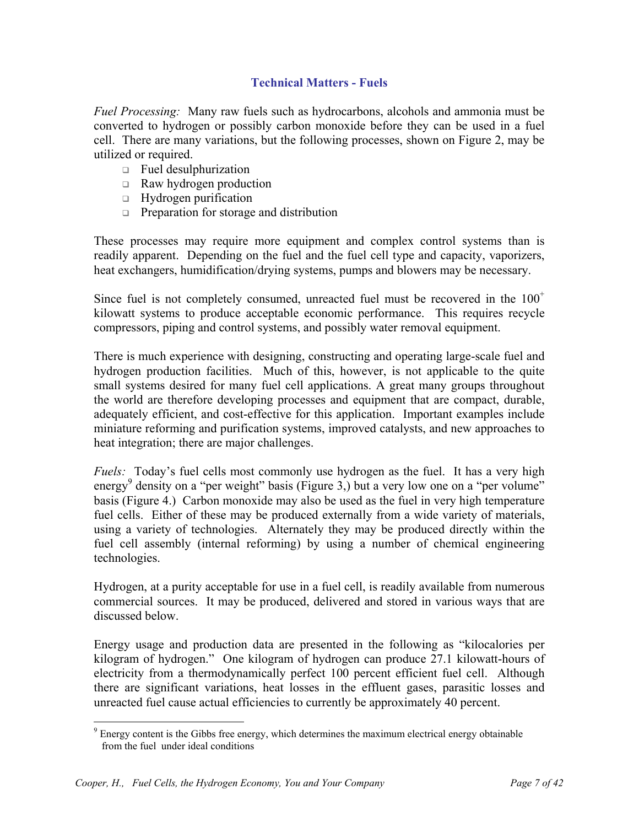## **Technical Matters - Fuels**

*Fuel Processing:* Many raw fuels such as hydrocarbons, alcohols and ammonia must be converted to hydrogen or possibly carbon monoxide before they can be used in a fuel cell. There are many variations, but the following processes, shown on Figure 2, may be utilized or required.

- $\Box$  Fuel desulphurization
- $\Box$  Raw hydrogen production
- $\Box$  Hydrogen purification
- **Preparation for storage and distribution**

These processes may require more equipment and complex control systems than is readily apparent. Depending on the fuel and the fuel cell type and capacity, vaporizers, heat exchangers, humidification/drying systems, pumps and blowers may be necessary.

Since fuel is not completely consumed, unreacted fuel must be recovered in the  $100^+$ kilowatt systems to produce acceptable economic performance. This requires recycle compressors, piping and control systems, and possibly water removal equipment.

There is much experience with designing, constructing and operating large-scale fuel and hydrogen production facilities. Much of this, however, is not applicable to the quite small systems desired for many fuel cell applications. A great many groups throughout the world are therefore developing processes and equipment that are compact, durable, adequately efficient, and cost-effective for this application. Important examples include miniature reforming and purification systems, improved catalysts, and new approaches to heat integration; there are major challenges.

*Fuels:* Today's fuel cells most commonly use hydrogen as the fuel. It has a very high energy<sup>9</sup> density on a "per weight" basis (Figure 3,) but a very low one on a "per volume" basis (Figure 4.) Carbon monoxide may also be used as the fuel in very high temperature fuel cells. Either of these may be produced externally from a wide variety of materials, using a variety of technologies. Alternately they may be produced directly within the fuel cell assembly (internal reforming) by using a number of chemical engineering technologies.

Hydrogen, at a purity acceptable for use in a fuel cell, is readily available from numerous commercial sources. It may be produced, delivered and stored in various ways that are discussed below.

Energy usage and production data are presented in the following as "kilocalories per kilogram of hydrogen." One kilogram of hydrogen can produce 27.1 kilowatt-hours of electricity from a thermodynamically perfect 100 percent efficient fuel cell. Although there are significant variations, heat losses in the effluent gases, parasitic losses and unreacted fuel cause actual efficiencies to currently be approximately 40 percent.

<sup>&</sup>lt;sup>9</sup> Energy content is the Gibbs free energy, which determines the maximum electrical energy obtainable from the fuel under ideal conditions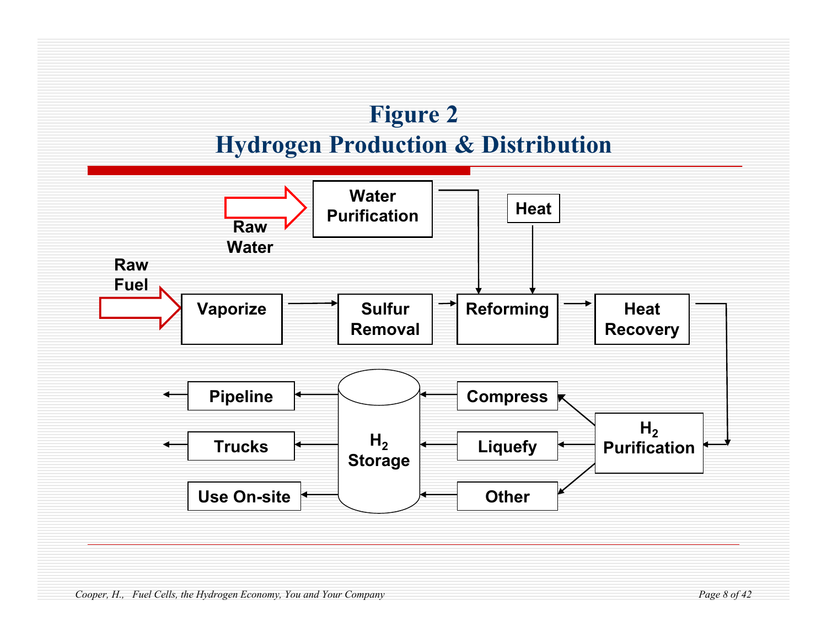

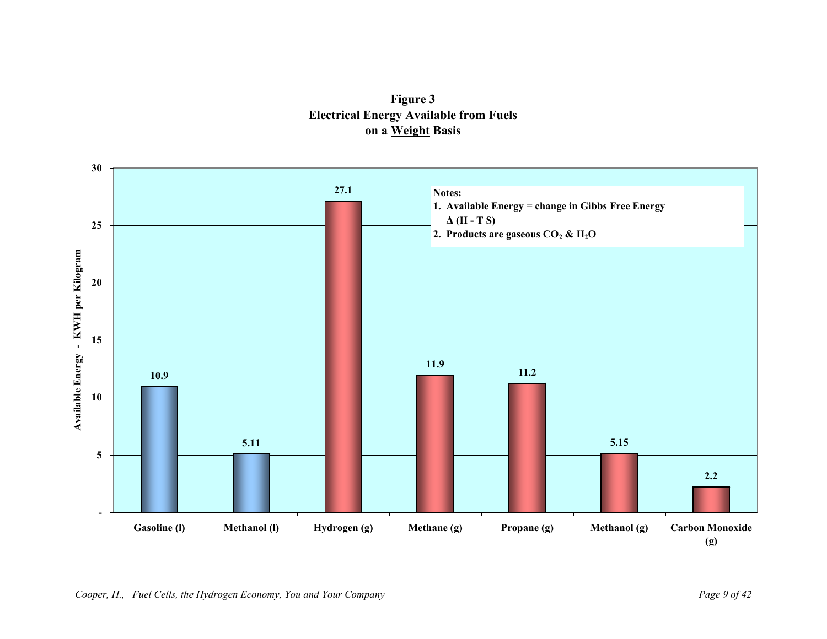**Figure 3 Electrical Energy Available from Fuels on a Weight Basis** 

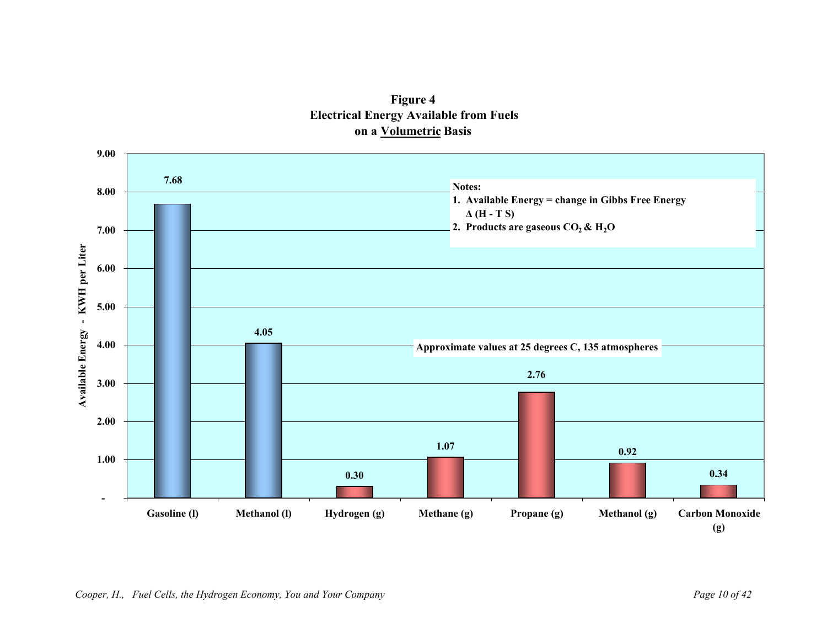

# **Figure 4 Electrical Energy Available from Fuels on a Volumetric Basis**

*Cooper, H., Fuel Cells, the Hydrogen Economy, You and Your Company Page 10 of 42*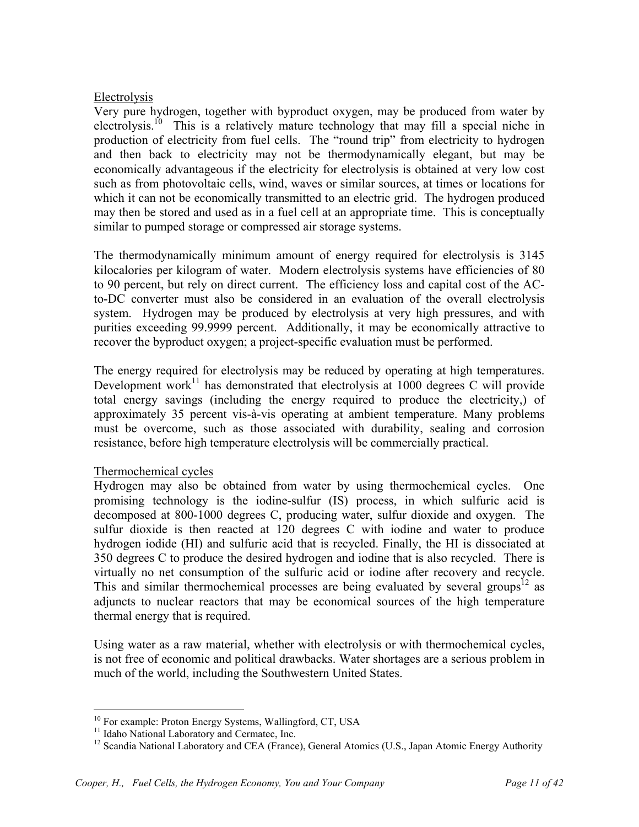## Electrolysis

Very pure hydrogen, together with byproduct oxygen, may be produced from water by electrolysis.<sup>10</sup> This is a relatively mature technology that may fill a special niche in production of electricity from fuel cells. The "round trip" from electricity to hydrogen and then back to electricity may not be thermodynamically elegant, but may be economically advantageous if the electricity for electrolysis is obtained at very low cost such as from photovoltaic cells, wind, waves or similar sources, at times or locations for which it can not be economically transmitted to an electric grid. The hydrogen produced may then be stored and used as in a fuel cell at an appropriate time. This is conceptually similar to pumped storage or compressed air storage systems.

The thermodynamically minimum amount of energy required for electrolysis is 3145 kilocalories per kilogram of water. Modern electrolysis systems have efficiencies of 80 to 90 percent, but rely on direct current. The efficiency loss and capital cost of the ACto-DC converter must also be considered in an evaluation of the overall electrolysis system. Hydrogen may be produced by electrolysis at very high pressures, and with purities exceeding 99.9999 percent. Additionally, it may be economically attractive to recover the byproduct oxygen; a project-specific evaluation must be performed.

The energy required for electrolysis may be reduced by operating at high temperatures. Development work<sup>11</sup> has demonstrated that electrolysis at  $1000$  degrees C will provide total energy savings (including the energy required to produce the electricity,) of approximately 35 percent vis-à-vis operating at ambient temperature. Many problems must be overcome, such as those associated with durability, sealing and corrosion resistance, before high temperature electrolysis will be commercially practical.

#### Thermochemical cycles

Hydrogen may also be obtained from water by using thermochemical cycles. One promising technology is the iodine-sulfur (IS) process, in which sulfuric acid is decomposed at 800-1000 degrees C, producing water, sulfur dioxide and oxygen. The sulfur dioxide is then reacted at 120 degrees C with iodine and water to produce hydrogen iodide (HI) and sulfuric acid that is recycled. Finally, the HI is dissociated at 350 degrees C to produce the desired hydrogen and iodine that is also recycled. There is virtually no net consumption of the sulfuric acid or iodine after recovery and recycle. This and similar thermochemical processes are being evaluated by several groups<sup>12</sup> as adjuncts to nuclear reactors that may be economical sources of the high temperature thermal energy that is required.

Using water as a raw material, whether with electrolysis or with thermochemical cycles, is not free of economic and political drawbacks. Water shortages are a serious problem in much of the world, including the Southwestern United States.

1

<sup>&</sup>lt;sup>10</sup> For example: Proton Energy Systems, Wallingford, CT, USA

<sup>&</sup>lt;sup>11</sup> Idaho National Laboratory and Cermatec, Inc.

<sup>&</sup>lt;sup>12</sup> Scandia National Laboratory and CEA (France), General Atomics (U.S., Japan Atomic Energy Authority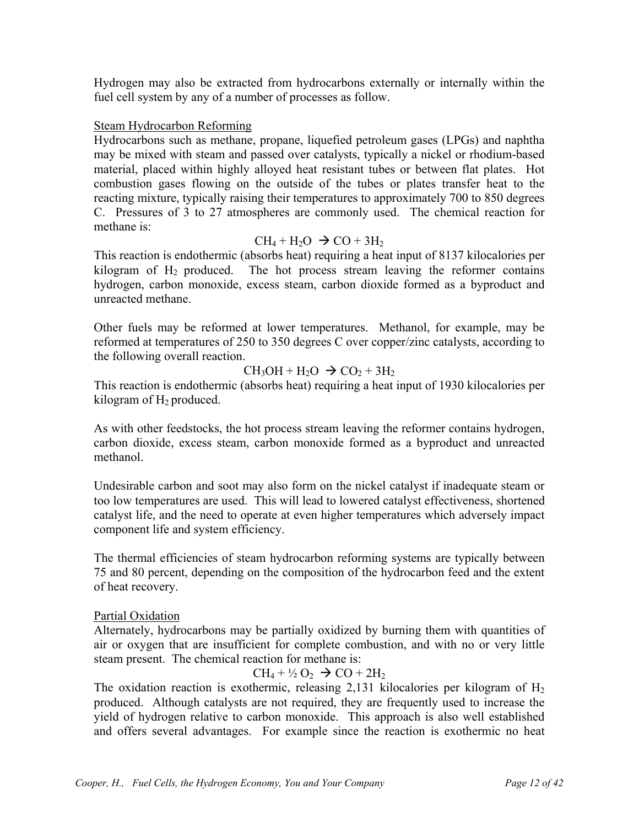Hydrogen may also be extracted from hydrocarbons externally or internally within the fuel cell system by any of a number of processes as follow.

## Steam Hydrocarbon Reforming

Hydrocarbons such as methane, propane, liquefied petroleum gases (LPGs) and naphtha may be mixed with steam and passed over catalysts, typically a nickel or rhodium-based material, placed within highly alloyed heat resistant tubes or between flat plates. Hot combustion gases flowing on the outside of the tubes or plates transfer heat to the reacting mixture, typically raising their temperatures to approximately 700 to 850 degrees C. Pressures of 3 to 27 atmospheres are commonly used. The chemical reaction for methane is:

## $CH_4 + H_2O \rightarrow CO + 3H_2$

This reaction is endothermic (absorbs heat) requiring a heat input of 8137 kilocalories per kilogram of  $H_2$  produced. The hot process stream leaving the reformer contains hydrogen, carbon monoxide, excess steam, carbon dioxide formed as a byproduct and unreacted methane.

Other fuels may be reformed at lower temperatures. Methanol, for example, may be reformed at temperatures of 250 to 350 degrees C over copper/zinc catalysts, according to the following overall reaction.

# $CH<sub>3</sub>OH + H<sub>2</sub>O \rightarrow CO<sub>2</sub> + 3H<sub>2</sub>$

This reaction is endothermic (absorbs heat) requiring a heat input of 1930 kilocalories per kilogram of  $H_2$  produced.

As with other feedstocks, the hot process stream leaving the reformer contains hydrogen, carbon dioxide, excess steam, carbon monoxide formed as a byproduct and unreacted methanol.

Undesirable carbon and soot may also form on the nickel catalyst if inadequate steam or too low temperatures are used. This will lead to lowered catalyst effectiveness, shortened catalyst life, and the need to operate at even higher temperatures which adversely impact component life and system efficiency.

The thermal efficiencies of steam hydrocarbon reforming systems are typically between 75 and 80 percent, depending on the composition of the hydrocarbon feed and the extent of heat recovery.

#### Partial Oxidation

Alternately, hydrocarbons may be partially oxidized by burning them with quantities of air or oxygen that are insufficient for complete combustion, and with no or very little steam present. The chemical reaction for methane is:

# $CH_4 + \frac{1}{2}O_2 \rightarrow CO + 2H_2$

The oxidation reaction is exothermic, releasing 2,131 kilocalories per kilogram of  $H_2$ produced. Although catalysts are not required, they are frequently used to increase the yield of hydrogen relative to carbon monoxide. This approach is also well established and offers several advantages. For example since the reaction is exothermic no heat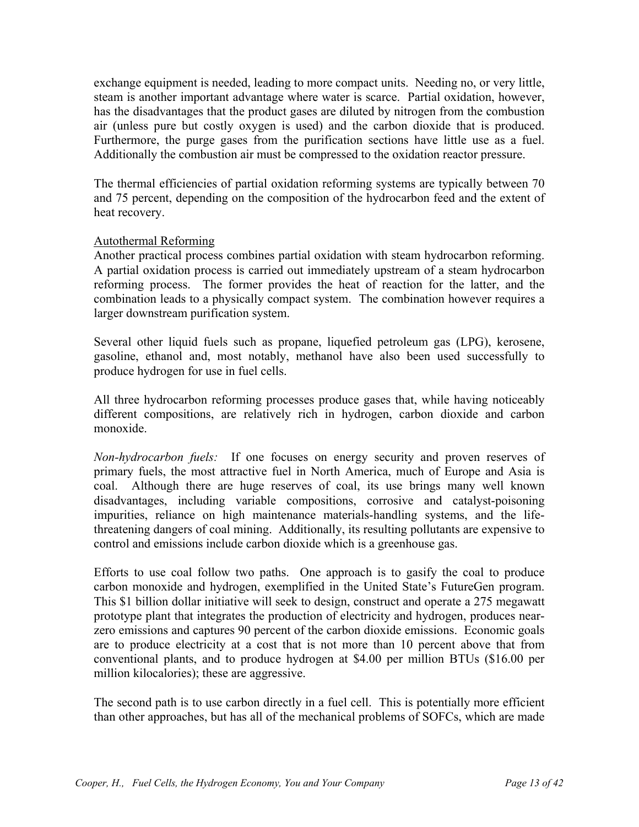exchange equipment is needed, leading to more compact units. Needing no, or very little, steam is another important advantage where water is scarce. Partial oxidation, however, has the disadvantages that the product gases are diluted by nitrogen from the combustion air (unless pure but costly oxygen is used) and the carbon dioxide that is produced. Furthermore, the purge gases from the purification sections have little use as a fuel. Additionally the combustion air must be compressed to the oxidation reactor pressure.

The thermal efficiencies of partial oxidation reforming systems are typically between 70 and 75 percent, depending on the composition of the hydrocarbon feed and the extent of heat recovery.

#### Autothermal Reforming

Another practical process combines partial oxidation with steam hydrocarbon reforming. A partial oxidation process is carried out immediately upstream of a steam hydrocarbon reforming process. The former provides the heat of reaction for the latter, and the combination leads to a physically compact system. The combination however requires a larger downstream purification system.

Several other liquid fuels such as propane, liquefied petroleum gas (LPG), kerosene, gasoline, ethanol and, most notably, methanol have also been used successfully to produce hydrogen for use in fuel cells.

All three hydrocarbon reforming processes produce gases that, while having noticeably different compositions, are relatively rich in hydrogen, carbon dioxide and carbon monoxide.

*Non-hydrocarbon fuels:* If one focuses on energy security and proven reserves of primary fuels, the most attractive fuel in North America, much of Europe and Asia is coal. Although there are huge reserves of coal, its use brings many well known disadvantages, including variable compositions, corrosive and catalyst-poisoning impurities, reliance on high maintenance materials-handling systems, and the lifethreatening dangers of coal mining. Additionally, its resulting pollutants are expensive to control and emissions include carbon dioxide which is a greenhouse gas.

Efforts to use coal follow two paths. One approach is to gasify the coal to produce carbon monoxide and hydrogen, exemplified in the United State's FutureGen program. This \$1 billion dollar initiative will seek to design, construct and operate a 275 megawatt prototype plant that integrates the production of electricity and hydrogen, produces nearzero emissions and captures 90 percent of the carbon dioxide emissions. Economic goals are to produce electricity at a cost that is not more than 10 percent above that from conventional plants, and to produce hydrogen at \$4.00 per million BTUs (\$16.00 per million kilocalories); these are aggressive.

The second path is to use carbon directly in a fuel cell. This is potentially more efficient than other approaches, but has all of the mechanical problems of SOFCs, which are made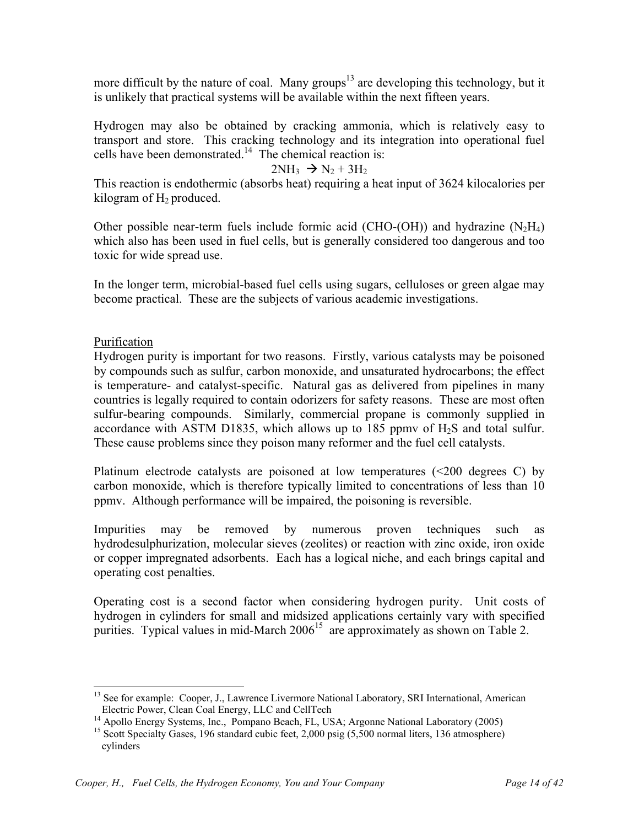more difficult by the nature of coal. Many groups<sup>13</sup> are developing this technology, but it is unlikely that practical systems will be available within the next fifteen years.

Hydrogen may also be obtained by cracking ammonia, which is relatively easy to transport and store. This cracking technology and its integration into operational fuel cells have been demonstrated.14 The chemical reaction is:

#### $2NH_3 \rightarrow N_2 + 3H_2$

This reaction is endothermic (absorbs heat) requiring a heat input of 3624 kilocalories per kilogram of  $H_2$  produced.

Other possible near-term fuels include formic acid (CHO-(OH)) and hydrazine  $(N_2H_4)$ which also has been used in fuel cells, but is generally considered too dangerous and too toxic for wide spread use.

In the longer term, microbial-based fuel cells using sugars, celluloses or green algae may become practical. These are the subjects of various academic investigations.

## Purification

 $\overline{a}$ 

Hydrogen purity is important for two reasons. Firstly, various catalysts may be poisoned by compounds such as sulfur, carbon monoxide, and unsaturated hydrocarbons; the effect is temperature- and catalyst-specific. Natural gas as delivered from pipelines in many countries is legally required to contain odorizers for safety reasons. These are most often sulfur-bearing compounds. Similarly, commercial propane is commonly supplied in accordance with ASTM D1835, which allows up to 185 ppmy of  $H_2S$  and total sulfur. These cause problems since they poison many reformer and the fuel cell catalysts.

Platinum electrode catalysts are poisoned at low temperatures  $\ll 200$  degrees C) by carbon monoxide, which is therefore typically limited to concentrations of less than 10 ppmv. Although performance will be impaired, the poisoning is reversible.

Impurities may be removed by numerous proven techniques such as hydrodesulphurization, molecular sieves (zeolites) or reaction with zinc oxide, iron oxide or copper impregnated adsorbents. Each has a logical niche, and each brings capital and operating cost penalties.

Operating cost is a second factor when considering hydrogen purity. Unit costs of hydrogen in cylinders for small and midsized applications certainly vary with specified purities. Typical values in mid-March  $2006<sup>15</sup>$  are approximately as shown on Table 2.

<sup>&</sup>lt;sup>13</sup> See for example: Cooper, J., Lawrence Livermore National Laboratory, SRI International, American Electric Power, Clean Coal Energy, LLC and CellTech 14 Apollo Energy Systems, Inc., Pompano Beach, FL, USA; Argonne National Laboratory (2005)

<sup>&</sup>lt;sup>15</sup> Scott Specialty Gases, 196 standard cubic feet, 2,000 psig (5,500 normal liters, 136 atmosphere) cylinders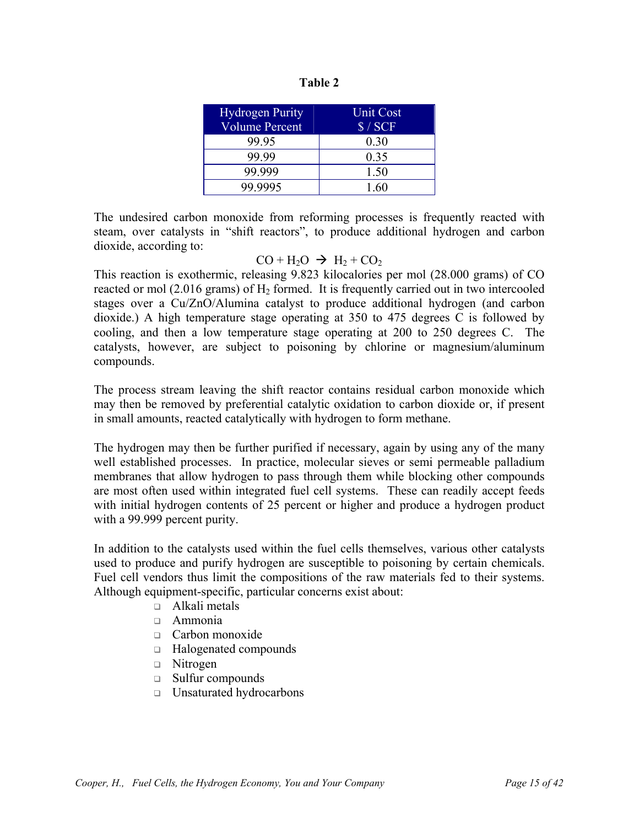| וח<br>и<br>. . |  |
|----------------|--|
|----------------|--|

| <b>Hydrogen Purity</b> | Unit Cost |
|------------------------|-----------|
| <b>Volume Percent</b>  | \$/SCF    |
| 99 95                  | 0.30      |
| 99.99                  | 0.35      |
| 99.999                 | 1.50      |
| 99 9995                | 1.60      |

The undesired carbon monoxide from reforming processes is frequently reacted with steam, over catalysts in "shift reactors", to produce additional hydrogen and carbon dioxide, according to:

#### $CO + H<sub>2</sub>O \rightarrow H<sub>2</sub> + CO<sub>2</sub>$

This reaction is exothermic, releasing 9.823 kilocalories per mol (28.000 grams) of CO reacted or mol  $(2.016 \text{ grams})$  of  $H_2$  formed. It is frequently carried out in two intercooled stages over a Cu/ZnO/Alumina catalyst to produce additional hydrogen (and carbon dioxide.) A high temperature stage operating at 350 to 475 degrees C is followed by cooling, and then a low temperature stage operating at 200 to 250 degrees C. The catalysts, however, are subject to poisoning by chlorine or magnesium/aluminum compounds.

The process stream leaving the shift reactor contains residual carbon monoxide which may then be removed by preferential catalytic oxidation to carbon dioxide or, if present in small amounts, reacted catalytically with hydrogen to form methane.

The hydrogen may then be further purified if necessary, again by using any of the many well established processes. In practice, molecular sieves or semi permeable palladium membranes that allow hydrogen to pass through them while blocking other compounds are most often used within integrated fuel cell systems. These can readily accept feeds with initial hydrogen contents of 25 percent or higher and produce a hydrogen product with a 99.999 percent purity.

In addition to the catalysts used within the fuel cells themselves, various other catalysts used to produce and purify hydrogen are susceptible to poisoning by certain chemicals. Fuel cell vendors thus limit the compositions of the raw materials fed to their systems. Although equipment-specific, particular concerns exist about:

- □ Alkali metals
- Ammonia
- □ Carbon monoxide
- □ Halogenated compounds
- $\Box$  Nitrogen
- □ Sulfur compounds
- □ Unsaturated hydrocarbons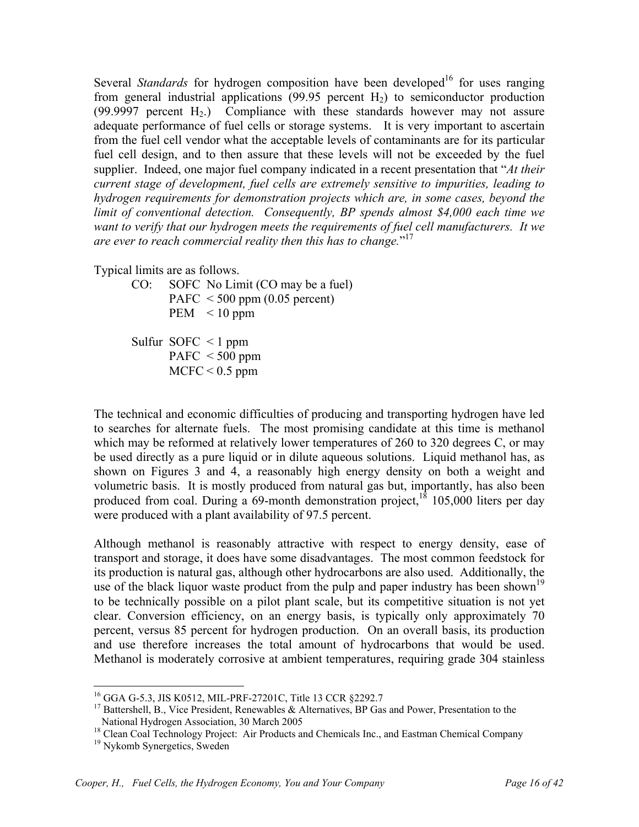Several *Standards* for hydrogen composition have been developed<sup>16</sup> for uses ranging from general industrial applications  $(99.95$  percent  $H_2$ ) to semiconductor production  $(99.9997)$  percent H<sub>2</sub>.) Compliance with these standards however may not assure adequate performance of fuel cells or storage systems. It is very important to ascertain from the fuel cell vendor what the acceptable levels of contaminants are for its particular fuel cell design, and to then assure that these levels will not be exceeded by the fuel supplier. Indeed, one major fuel company indicated in a recent presentation that "*At their current stage of development, fuel cells are extremely sensitive to impurities, leading to hydrogen requirements for demonstration projects which are, in some cases, beyond the limit of conventional detection. Consequently, BP spends almost \$4,000 each time we want to verify that our hydrogen meets the requirements of fuel cell manufacturers. It we are ever to reach commercial reality then this has to change.*" 17

Typical limits are as follows.

CO: SOFC No Limit (CO may be a fuel) PAFC  $\leq 500$  ppm (0.05 percent) PEM  $\leq 10$  ppm

Sulfur SOFC  $\leq 1$  ppm PAFC  $<$  500 ppm  $MCFC < 0.5$  ppm

The technical and economic difficulties of producing and transporting hydrogen have led to searches for alternate fuels. The most promising candidate at this time is methanol which may be reformed at relatively lower temperatures of 260 to 320 degrees C, or may be used directly as a pure liquid or in dilute aqueous solutions. Liquid methanol has, as shown on Figures 3 and 4, a reasonably high energy density on both a weight and volumetric basis. It is mostly produced from natural gas but, importantly, has also been produced from coal. During a  $69$ -month demonstration project, $18 \overline{105,000}$  liters per day were produced with a plant availability of 97.5 percent.

Although methanol is reasonably attractive with respect to energy density, ease of transport and storage, it does have some disadvantages. The most common feedstock for its production is natural gas, although other hydrocarbons are also used. Additionally, the use of the black liquor waste product from the pulp and paper industry has been shown<sup>19</sup> to be technically possible on a pilot plant scale, but its competitive situation is not yet clear. Conversion efficiency, on an energy basis, is typically only approximately 70 percent, versus 85 percent for hydrogen production. On an overall basis, its production and use therefore increases the total amount of hydrocarbons that would be used. Methanol is moderately corrosive at ambient temperatures, requiring grade 304 stainless

<sup>&</sup>lt;sup>16</sup> GGA G-5.3, JIS K0512, MIL-PRF-27201C, Title 13 CCR §2292.7

<sup>&</sup>lt;sup>17</sup> Battershell, B., Vice President, Renewables & Alternatives, BP Gas and Power, Presentation to the National Hydrogen Association, 30 March 2005

 $18$  Clean Coal Technology Project: Air Products and Chemicals Inc., and Eastman Chemical Company  $19$  Nykomb Synergetics, Sweden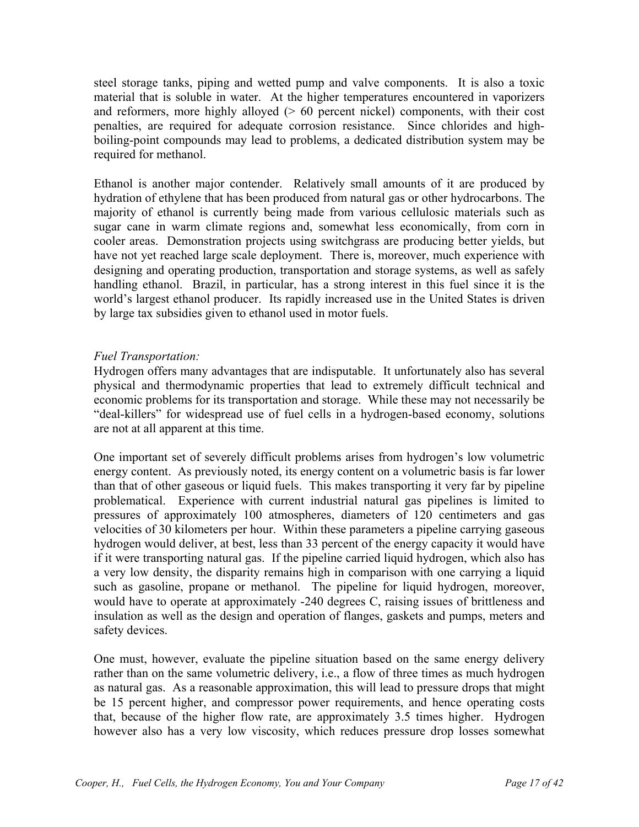steel storage tanks, piping and wetted pump and valve components. It is also a toxic material that is soluble in water. At the higher temperatures encountered in vaporizers and reformers, more highly alloyed  $(0.60)$  percent nickel) components, with their cost penalties, are required for adequate corrosion resistance. Since chlorides and highboiling-point compounds may lead to problems, a dedicated distribution system may be required for methanol.

Ethanol is another major contender. Relatively small amounts of it are produced by hydration of ethylene that has been produced from natural gas or other hydrocarbons. The majority of ethanol is currently being made from various cellulosic materials such as sugar cane in warm climate regions and, somewhat less economically, from corn in cooler areas. Demonstration projects using switchgrass are producing better yields, but have not yet reached large scale deployment. There is, moreover, much experience with designing and operating production, transportation and storage systems, as well as safely handling ethanol. Brazil, in particular, has a strong interest in this fuel since it is the world's largest ethanol producer. Its rapidly increased use in the United States is driven by large tax subsidies given to ethanol used in motor fuels.

# *Fuel Transportation:*

Hydrogen offers many advantages that are indisputable. It unfortunately also has several physical and thermodynamic properties that lead to extremely difficult technical and economic problems for its transportation and storage. While these may not necessarily be "deal-killers" for widespread use of fuel cells in a hydrogen-based economy, solutions are not at all apparent at this time.

One important set of severely difficult problems arises from hydrogen's low volumetric energy content. As previously noted, its energy content on a volumetric basis is far lower than that of other gaseous or liquid fuels. This makes transporting it very far by pipeline problematical. Experience with current industrial natural gas pipelines is limited to pressures of approximately 100 atmospheres, diameters of 120 centimeters and gas velocities of 30 kilometers per hour. Within these parameters a pipeline carrying gaseous hydrogen would deliver, at best, less than 33 percent of the energy capacity it would have if it were transporting natural gas. If the pipeline carried liquid hydrogen, which also has a very low density, the disparity remains high in comparison with one carrying a liquid such as gasoline, propane or methanol. The pipeline for liquid hydrogen, moreover, would have to operate at approximately -240 degrees C, raising issues of brittleness and insulation as well as the design and operation of flanges, gaskets and pumps, meters and safety devices.

One must, however, evaluate the pipeline situation based on the same energy delivery rather than on the same volumetric delivery, i.e., a flow of three times as much hydrogen as natural gas. As a reasonable approximation, this will lead to pressure drops that might be 15 percent higher, and compressor power requirements, and hence operating costs that, because of the higher flow rate, are approximately 3.5 times higher. Hydrogen however also has a very low viscosity, which reduces pressure drop losses somewhat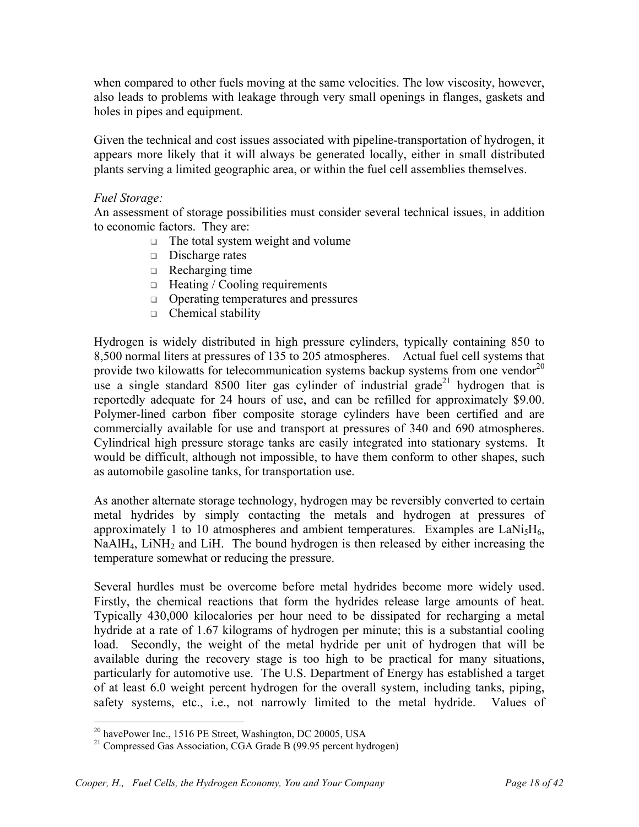when compared to other fuels moving at the same velocities. The low viscosity, however, also leads to problems with leakage through very small openings in flanges, gaskets and holes in pipes and equipment.

Given the technical and cost issues associated with pipeline-transportation of hydrogen, it appears more likely that it will always be generated locally, either in small distributed plants serving a limited geographic area, or within the fuel cell assemblies themselves.

#### *Fuel Storage:*

An assessment of storage possibilities must consider several technical issues, in addition to economic factors. They are:

- $\Box$  The total system weight and volume
- $\Box$  Discharge rates
- $\Box$  Recharging time
- $\Box$  Heating / Cooling requirements
- □ Operating temperatures and pressures
- $\Box$  Chemical stability

Hydrogen is widely distributed in high pressure cylinders, typically containing 850 to 8,500 normal liters at pressures of 135 to 205 atmospheres.Actual fuel cell systems that provide two kilowatts for telecommunication systems backup systems from one vendor<sup>20</sup> use a single standard 8500 liter gas cylinder of industrial grade<sup>21</sup> hydrogen that is reportedly adequate for 24 hours of use, and can be refilled for approximately \$9.00. Polymer-lined carbon fiber composite storage cylinders have been certified and are commercially available for use and transport at pressures of 340 and 690 atmospheres. Cylindrical high pressure storage tanks are easily integrated into stationary systems. It would be difficult, although not impossible, to have them conform to other shapes, such as automobile gasoline tanks, for transportation use.

As another alternate storage technology, hydrogen may be reversibly converted to certain metal hydrides by simply contacting the metals and hydrogen at pressures of approximately 1 to 10 atmospheres and ambient temperatures. Examples are  $LaNi<sub>5</sub>H<sub>6</sub>$ , NaAlH<sub>4</sub>, LiNH<sub>2</sub> and LiH. The bound hydrogen is then released by either increasing the temperature somewhat or reducing the pressure.

Several hurdles must be overcome before metal hydrides become more widely used. Firstly, the chemical reactions that form the hydrides release large amounts of heat. Typically 430,000 kilocalories per hour need to be dissipated for recharging a metal hydride at a rate of 1.67 kilograms of hydrogen per minute; this is a substantial cooling load. Secondly, the weight of the metal hydride per unit of hydrogen that will be available during the recovery stage is too high to be practical for many situations, particularly for automotive use. The U.S. Department of Energy has established a target of at least 6.0 weight percent hydrogen for the overall system, including tanks, piping, safety systems, etc., i.e., not narrowly limited to the metal hydride. Values of

1

<sup>&</sup>lt;sup>20</sup> havePower Inc., 1516 PE Street, Washington, DC 20005, USA

<sup>&</sup>lt;sup>21</sup> Compressed Gas Association, CGA Grade B (99.95 percent hydrogen)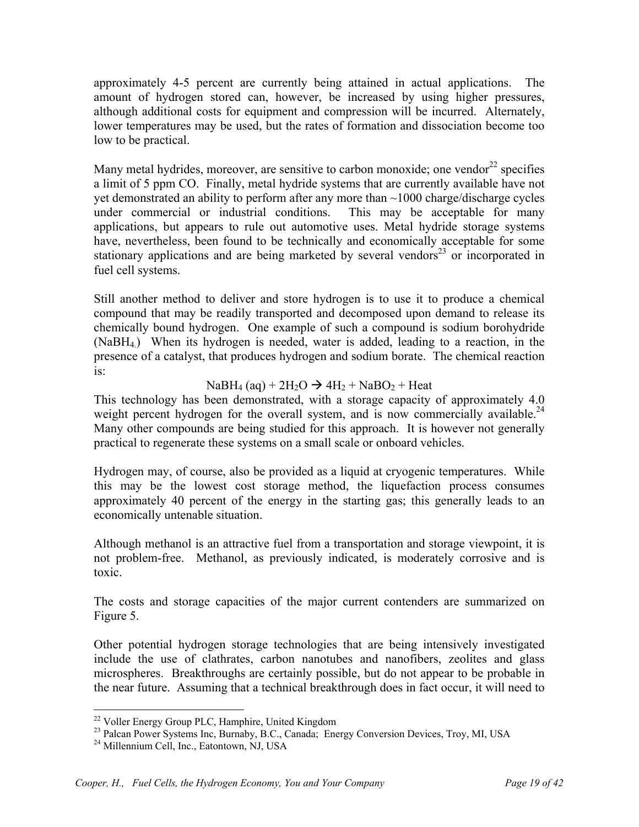approximately 4-5 percent are currently being attained in actual applications. The amount of hydrogen stored can, however, be increased by using higher pressures, although additional costs for equipment and compression will be incurred. Alternately, lower temperatures may be used, but the rates of formation and dissociation become too low to be practical.

Many metal hydrides, moreover, are sensitive to carbon monoxide; one vendor  $22$  specifies a limit of 5 ppm CO. Finally, metal hydride systems that are currently available have not yet demonstrated an ability to perform after any more than ~1000 charge/discharge cycles under commercial or industrial conditions. This may be acceptable for many applications, but appears to rule out automotive uses. Metal hydride storage systems have, nevertheless, been found to be technically and economically acceptable for some stationary applications and are being marketed by several vendors<sup>23</sup> or incorporated in fuel cell systems.

Still another method to deliver and store hydrogen is to use it to produce a chemical compound that may be readily transported and decomposed upon demand to release its chemically bound hydrogen. One example of such a compound is sodium borohydride (NaBH4.) When its hydrogen is needed, water is added, leading to a reaction, in the presence of a catalyst, that produces hydrogen and sodium borate. The chemical reaction is:

# $NaBH<sub>4</sub> (aq) + 2H<sub>2</sub>O \rightarrow 4H<sub>2</sub> + NaBO<sub>2</sub> + Heat$

This technology has been demonstrated, with a storage capacity of approximately 4.0 weight percent hydrogen for the overall system, and is now commercially available.<sup>24</sup> Many other compounds are being studied for this approach. It is however not generally practical to regenerate these systems on a small scale or onboard vehicles.

Hydrogen may, of course, also be provided as a liquid at cryogenic temperatures. While this may be the lowest cost storage method, the liquefaction process consumes approximately 40 percent of the energy in the starting gas; this generally leads to an economically untenable situation.

Although methanol is an attractive fuel from a transportation and storage viewpoint, it is not problem-free. Methanol, as previously indicated, is moderately corrosive and is toxic.

The costs and storage capacities of the major current contenders are summarized on Figure 5.

Other potential hydrogen storage technologies that are being intensively investigated include the use of clathrates, carbon nanotubes and nanofibers, zeolites and glass microspheres. Breakthroughs are certainly possible, but do not appear to be probable in the near future. Assuming that a technical breakthrough does in fact occur, it will need to

1

<sup>&</sup>lt;sup>22</sup> Voller Energy Group PLC, Hamphire, United Kingdom

<sup>&</sup>lt;sup>23</sup> Palcan Power Systems Inc, Burnaby, B.C., Canada; Energy Conversion Devices, Troy, MI, USA <sup>24</sup> Millennium Cell, Inc., Eatontown, NJ, USA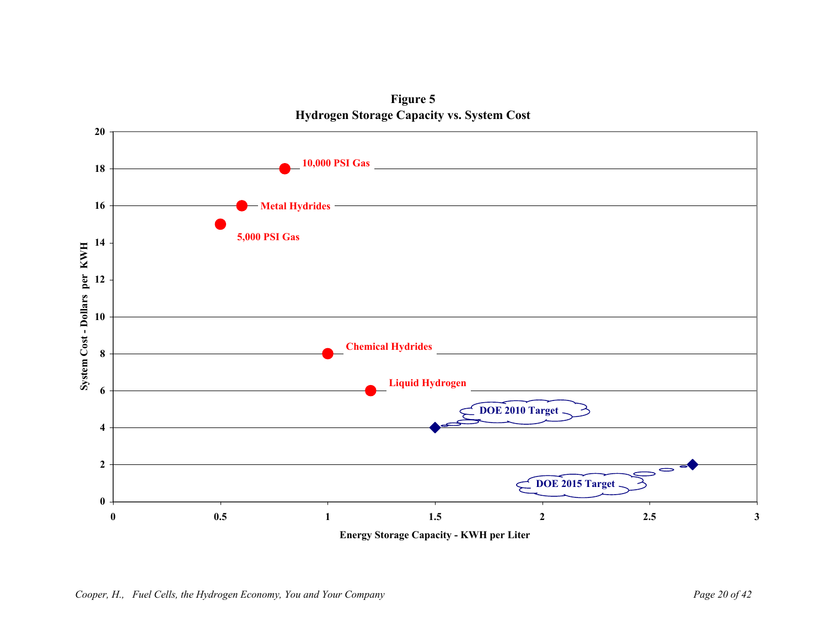

**Figure 5 Hydrogen Storage Capacity vs. System Cost**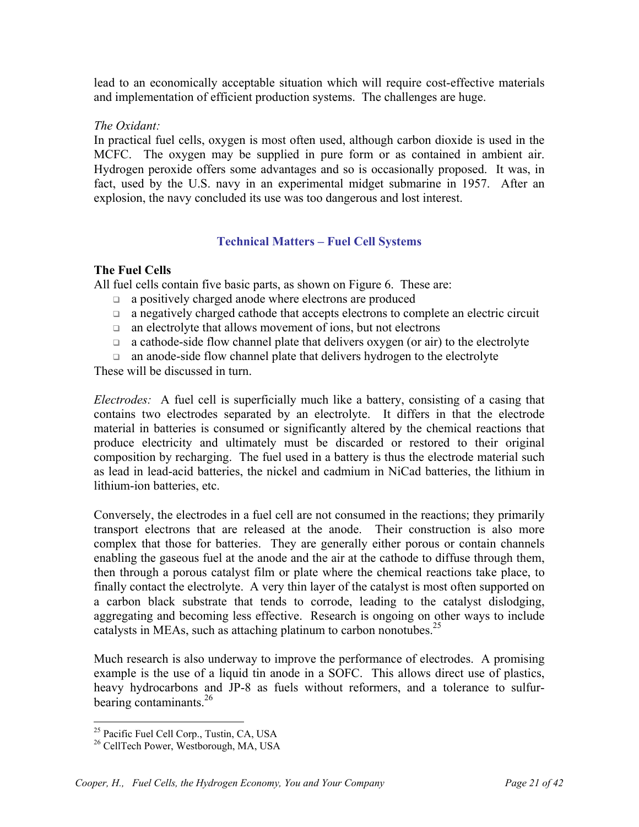lead to an economically acceptable situation which will require cost-effective materials and implementation of efficient production systems. The challenges are huge.

#### *The Oxidant:*

In practical fuel cells, oxygen is most often used, although carbon dioxide is used in the MCFC. The oxygen may be supplied in pure form or as contained in ambient air. Hydrogen peroxide offers some advantages and so is occasionally proposed. It was, in fact, used by the U.S. navy in an experimental midget submarine in 1957. After an explosion, the navy concluded its use was too dangerous and lost interest.

## **Technical Matters – Fuel Cell Systems**

## **The Fuel Cells**

All fuel cells contain five basic parts, as shown on Figure 6. These are:

- a positively charged anode where electrons are produced
- a negatively charged cathode that accepts electrons to complete an electric circuit
- an electrolyte that allows movement of ions, but not electrons
- $\Box$  a cathode-side flow channel plate that delivers oxygen (or air) to the electrolyte
- an anode-side flow channel plate that delivers hydrogen to the electrolyte

These will be discussed in turn.

*Electrodes:* A fuel cell is superficially much like a battery, consisting of a casing that contains two electrodes separated by an electrolyte. It differs in that the electrode material in batteries is consumed or significantly altered by the chemical reactions that produce electricity and ultimately must be discarded or restored to their original composition by recharging. The fuel used in a battery is thus the electrode material such as lead in lead-acid batteries, the nickel and cadmium in NiCad batteries, the lithium in lithium-ion batteries, etc.

Conversely, the electrodes in a fuel cell are not consumed in the reactions; they primarily transport electrons that are released at the anode. Their construction is also more complex that those for batteries. They are generally either porous or contain channels enabling the gaseous fuel at the anode and the air at the cathode to diffuse through them, then through a porous catalyst film or plate where the chemical reactions take place, to finally contact the electrolyte. A very thin layer of the catalyst is most often supported on a carbon black substrate that tends to corrode, leading to the catalyst dislodging, aggregating and becoming less effective. Research is ongoing on other ways to include catalysts in MEAs, such as attaching platinum to carbon nonotubes.<sup>25</sup>

Much research is also underway to improve the performance of electrodes. A promising example is the use of a liquid tin anode in a SOFC. This allows direct use of plastics, heavy hydrocarbons and JP-8 as fuels without reformers, and a tolerance to sulfurbearing contaminants.<sup>26</sup>

 $\overline{a}$ 

<sup>&</sup>lt;sup>25</sup> Pacific Fuel Cell Corp., Tustin, CA, USA

<sup>&</sup>lt;sup>26</sup> CellTech Power, Westborough, MA, USA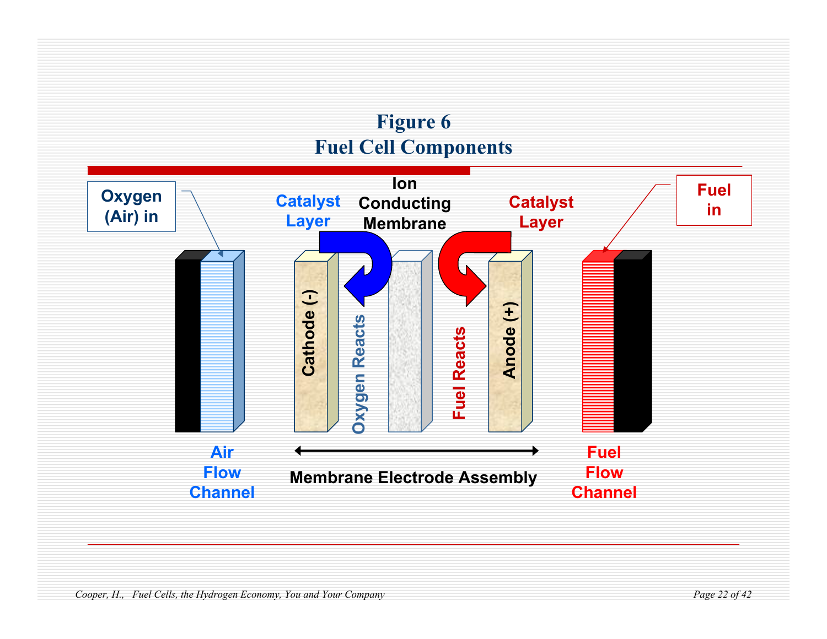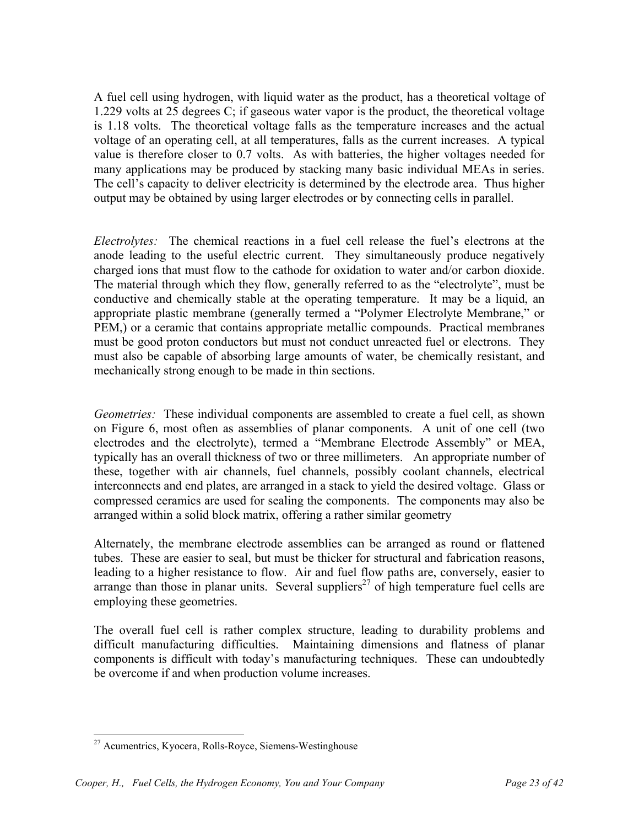A fuel cell using hydrogen, with liquid water as the product, has a theoretical voltage of 1.229 volts at 25 degrees C; if gaseous water vapor is the product, the theoretical voltage is 1.18 volts. The theoretical voltage falls as the temperature increases and the actual voltage of an operating cell, at all temperatures, falls as the current increases. A typical value is therefore closer to 0.7 volts. As with batteries, the higher voltages needed for many applications may be produced by stacking many basic individual MEAs in series. The cell's capacity to deliver electricity is determined by the electrode area. Thus higher output may be obtained by using larger electrodes or by connecting cells in parallel.

*Electrolytes:* The chemical reactions in a fuel cell release the fuel's electrons at the anode leading to the useful electric current. They simultaneously produce negatively charged ions that must flow to the cathode for oxidation to water and/or carbon dioxide. The material through which they flow, generally referred to as the "electrolyte", must be conductive and chemically stable at the operating temperature. It may be a liquid, an appropriate plastic membrane (generally termed a "Polymer Electrolyte Membrane," or PEM,) or a ceramic that contains appropriate metallic compounds. Practical membranes must be good proton conductors but must not conduct unreacted fuel or electrons. They must also be capable of absorbing large amounts of water, be chemically resistant, and mechanically strong enough to be made in thin sections.

*Geometries:* These individual components are assembled to create a fuel cell, as shown on Figure 6, most often as assemblies of planar components. A unit of one cell (two electrodes and the electrolyte), termed a "Membrane Electrode Assembly" or MEA, typically has an overall thickness of two or three millimeters. An appropriate number of these, together with air channels, fuel channels, possibly coolant channels, electrical interconnects and end plates, are arranged in a stack to yield the desired voltage. Glass or compressed ceramics are used for sealing the components. The components may also be arranged within a solid block matrix, offering a rather similar geometry

Alternately, the membrane electrode assemblies can be arranged as round or flattened tubes. These are easier to seal, but must be thicker for structural and fabrication reasons, leading to a higher resistance to flow. Air and fuel flow paths are, conversely, easier to arrange than those in planar units. Several suppliers<sup>27</sup> of high temperature fuel cells are employing these geometries.

The overall fuel cell is rather complex structure, leading to durability problems and difficult manufacturing difficulties. Maintaining dimensions and flatness of planar components is difficult with today's manufacturing techniques. These can undoubtedly be overcome if and when production volume increases.

<sup>&</sup>lt;u>.</u> 27 Acumentrics, Kyocera, Rolls-Royce, Siemens-Westinghouse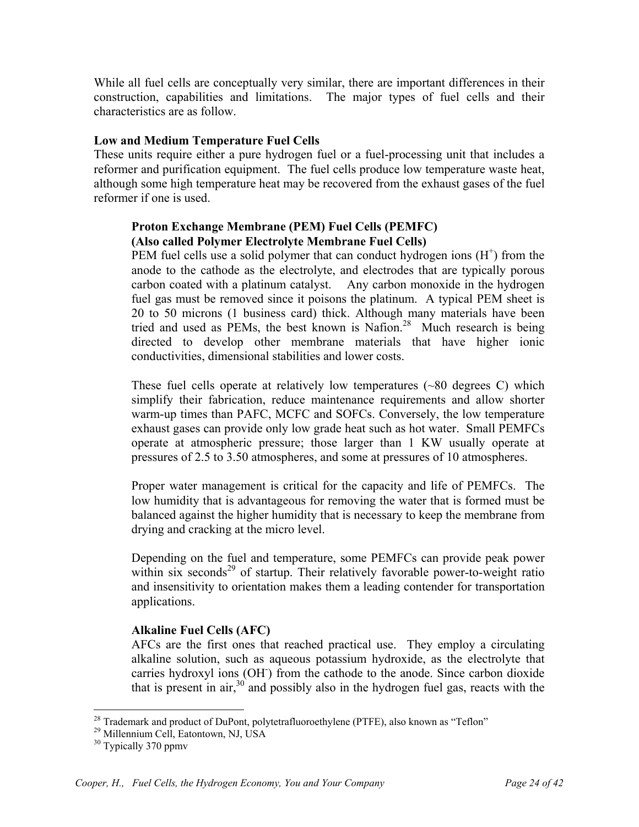While all fuel cells are conceptually very similar, there are important differences in their construction, capabilities and limitations. The major types of fuel cells and their characteristics are as follow.

#### **Low and Medium Temperature Fuel Cells**

These units require either a pure hydrogen fuel or a fuel-processing unit that includes a reformer and purification equipment. The fuel cells produce low temperature waste heat, although some high temperature heat may be recovered from the exhaust gases of the fuel reformer if one is used.

## **Proton Exchange Membrane (PEM) Fuel Cells (PEMFC) (Also called Polymer Electrolyte Membrane Fuel Cells)**

PEM fuel cells use a solid polymer that can conduct hydrogen ions  $(H<sup>+</sup>)$  from the anode to the cathode as the electrolyte, and electrodes that are typically porous carbon coated with a platinum catalyst. Any carbon monoxide in the hydrogen fuel gas must be removed since it poisons the platinum. A typical PEM sheet is 20 to 50 microns (1 business card) thick. Although many materials have been tried and used as PEMs, the best known is Nafion.<sup>28</sup> Much research is being directed to develop other membrane materials that have higher ionic conductivities, dimensional stabilities and lower costs.

These fuel cells operate at relatively low temperatures (~80 degrees C) which simplify their fabrication, reduce maintenance requirements and allow shorter warm-up times than PAFC, MCFC and SOFCs. Conversely, the low temperature exhaust gases can provide only low grade heat such as hot water. Small PEMFCs operate at atmospheric pressure; those larger than 1 KW usually operate at pressures of 2.5 to 3.50 atmospheres, and some at pressures of 10 atmospheres.

Proper water management is critical for the capacity and life of PEMFCs. The low humidity that is advantageous for removing the water that is formed must be balanced against the higher humidity that is necessary to keep the membrane from drying and cracking at the micro level.

Depending on the fuel and temperature, some PEMFCs can provide peak power within six seconds<sup>29</sup> of startup. Their relatively favorable power-to-weight ratio and insensitivity to orientation makes them a leading contender for transportation applications.

# **Alkaline Fuel Cells (AFC)**

AFCs are the first ones that reached practical use. They employ a circulating alkaline solution, such as aqueous potassium hydroxide, as the electrolyte that carries hydroxyl ions (OH) from the cathode to the anode. Since carbon dioxide that is present in air,  $30^{\circ}$  and possibly also in the hydrogen fuel gas, reacts with the

 $\overline{a}$  $^{28}$  Trademark and product of DuPont, polytetrafluoroethylene (PTFE), also known as "Teflon"

<sup>29</sup> Millennium Cell, Eatontown, NJ, USA

<sup>&</sup>lt;sup>30</sup> Typically 370 ppmv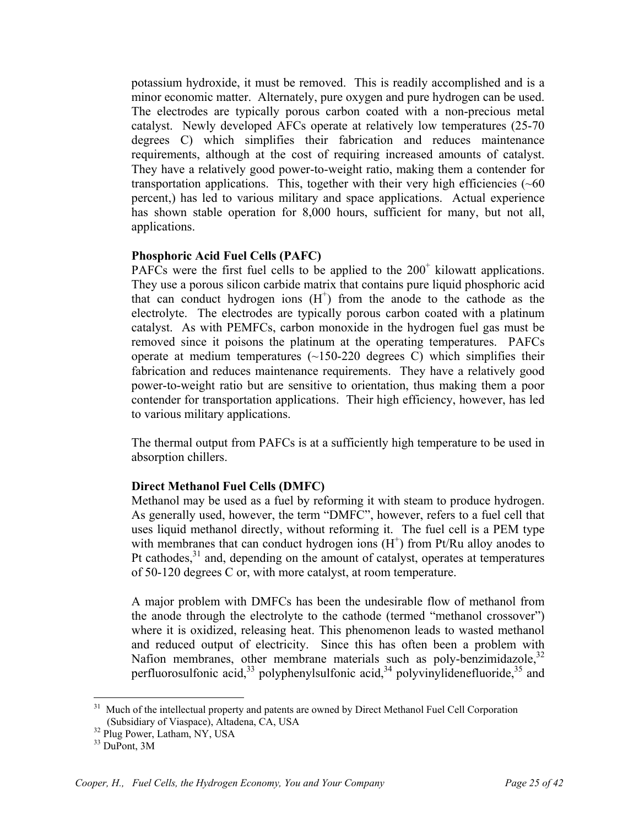potassium hydroxide, it must be removed. This is readily accomplished and is a minor economic matter. Alternately, pure oxygen and pure hydrogen can be used. The electrodes are typically porous carbon coated with a non-precious metal catalyst. Newly developed AFCs operate at relatively low temperatures (25-70 degrees C) which simplifies their fabrication and reduces maintenance requirements, although at the cost of requiring increased amounts of catalyst. They have a relatively good power-to-weight ratio, making them a contender for transportation applications. This, together with their very high efficiencies  $(\sim 60$ percent,) has led to various military and space applications. Actual experience has shown stable operation for 8,000 hours, sufficient for many, but not all, applications.

#### **Phosphoric Acid Fuel Cells (PAFC)**

PAFCs were the first fuel cells to be applied to the  $200<sup>+</sup>$  kilowatt applications. They use a porous silicon carbide matrix that contains pure liquid phosphoric acid that can conduct hydrogen ions  $(H<sup>+</sup>)$  from the anode to the cathode as the electrolyte. The electrodes are typically porous carbon coated with a platinum catalyst. As with PEMFCs, carbon monoxide in the hydrogen fuel gas must be removed since it poisons the platinum at the operating temperatures. PAFCs operate at medium temperatures  $(\sim 150-220$  degrees C) which simplifies their fabrication and reduces maintenance requirements. They have a relatively good power-to-weight ratio but are sensitive to orientation, thus making them a poor contender for transportation applications. Their high efficiency, however, has led to various military applications.

The thermal output from PAFCs is at a sufficiently high temperature to be used in absorption chillers.

# **Direct Methanol Fuel Cells (DMFC)**

Methanol may be used as a fuel by reforming it with steam to produce hydrogen. As generally used, however, the term "DMFC", however, refers to a fuel cell that uses liquid methanol directly, without reforming it. The fuel cell is a PEM type with membranes that can conduct hydrogen ions  $(H<sup>+</sup>)$  from Pt/Ru alloy anodes to Pt cathodes,<sup>31</sup> and, depending on the amount of catalyst, operates at temperatures of 50-120 degrees C or, with more catalyst, at room temperature.

A major problem with DMFCs has been the undesirable flow of methanol from the anode through the electrolyte to the cathode (termed "methanol crossover") where it is oxidized, releasing heat. This phenomenon leads to wasted methanol and reduced output of electricity. Since this has often been a problem with Nafion membranes, other membrane materials such as poly-benzimidazole,<sup>32</sup> perfluorosulfonic acid,  $33$  polyphenylsulfonic acid,  $34$  polyvinylidenefluoride,  $35$  and

<sup>31</sup> Much of the intellectual property and patents are owned by Direct Methanol Fuel Cell Corporation (Subsidiary of Viaspace), Altadena, CA, USA

 $32$  Plug Power, Latham, NY, USA

<sup>33</sup> DuPont, 3M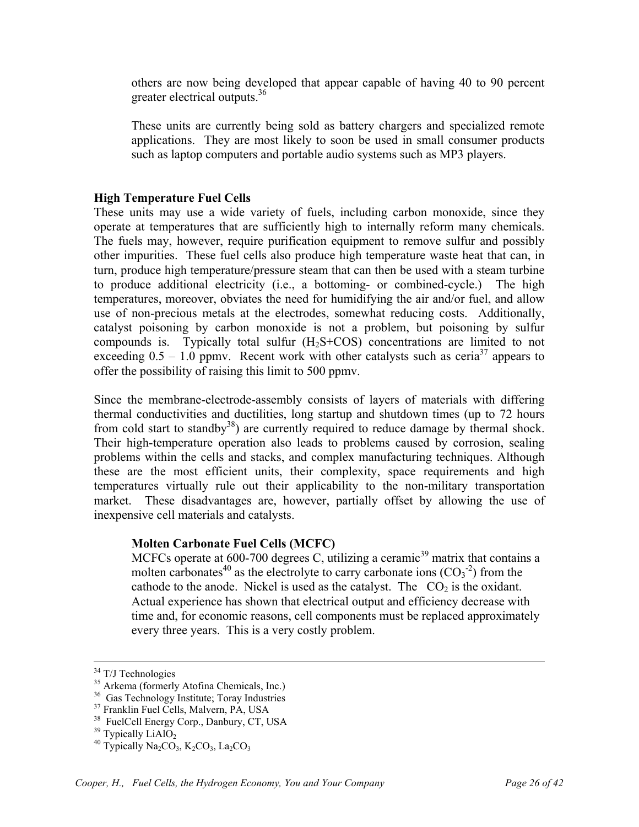others are now being developed that appear capable of having 40 to 90 percent greater electrical outputs.<sup>36</sup>

These units are currently being sold as battery chargers and specialized remote applications. They are most likely to soon be used in small consumer products such as laptop computers and portable audio systems such as MP3 players.

#### **High Temperature Fuel Cells**

These units may use a wide variety of fuels, including carbon monoxide, since they operate at temperatures that are sufficiently high to internally reform many chemicals. The fuels may, however, require purification equipment to remove sulfur and possibly other impurities.These fuel cells also produce high temperature waste heat that can, in turn, produce high temperature/pressure steam that can then be used with a steam turbine to produce additional electricity (i.e., a bottoming- or combined-cycle.) The high temperatures, moreover, obviates the need for humidifying the air and/or fuel, and allow use of non-precious metals at the electrodes, somewhat reducing costs. Additionally, catalyst poisoning by carbon monoxide is not a problem, but poisoning by sulfur compounds is. Typically total sulfur  $(H<sub>2</sub>S+COS)$  concentrations are limited to not exceeding  $0.5 - 1.0$  ppmv. Recent work with other catalysts such as ceria<sup>37</sup> appears to offer the possibility of raising this limit to 500 ppmv.

Since the membrane-electrode-assembly consists of layers of materials with differing thermal conductivities and ductilities, long startup and shutdown times (up to 72 hours from cold start to standby<sup>38</sup>) are currently required to reduce damage by thermal shock. Their high-temperature operation also leads to problems caused by corrosion, sealing problems within the cells and stacks, and complex manufacturing techniques. Although these are the most efficient units, their complexity, space requirements and high temperatures virtually rule out their applicability to the non-military transportation market. These disadvantages are, however, partially offset by allowing the use of inexpensive cell materials and catalysts.

#### **Molten Carbonate Fuel Cells (MCFC)**

MCFCs operate at 600-700 degrees C, utilizing a ceramic<sup>39</sup> matrix that contains a molten carbonates<sup>40</sup> as the electrolyte to carry carbonate ions  $(CO<sub>3</sub><sup>-2</sup>)$  from the cathode to the anode. Nickel is used as the catalyst. The  $CO<sub>2</sub>$  is the oxidant. Actual experience has shown that electrical output and efficiency decrease with time and, for economic reasons, cell components must be replaced approximately every three years. This is a very costly problem.

<sup>&</sup>lt;sup>34</sup> T/J Technologies

<sup>&</sup>lt;sup>35</sup> Arkema (formerly Atofina Chemicals, Inc.)

<sup>&</sup>lt;sup>36</sup> Gas Technology Institute; Toray Industries

<sup>&</sup>lt;sup>37</sup> Franklin Fuel Cells, Malvern, PA, USA

<sup>&</sup>lt;sup>38</sup> FuelCell Energy Corp., Danbury, CT, USA<br><sup>39</sup> Typically LiAlO<sub>2</sub>

 $3^{40}$  Typically Na<sub>2</sub>CO<sub>3</sub>, K<sub>2</sub>CO<sub>3</sub>, La<sub>2</sub>CO<sub>3</sub>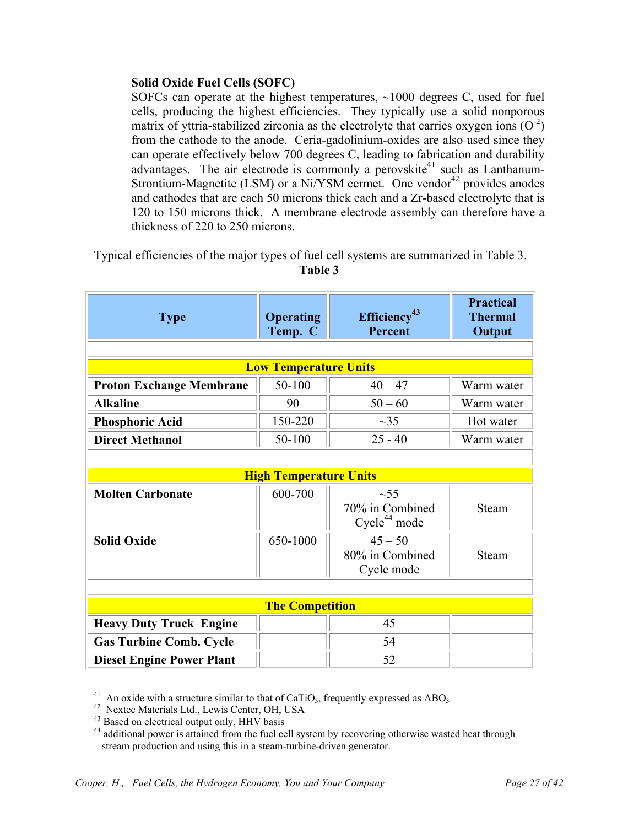## **Solid Oxide Fuel Cells (SOFC)**

SOFCs can operate at the highest temperatures, ~1000 degrees C, used for fuel cells, producing the highest efficiencies. They typically use a solid nonporous matrix of yttria-stabilized zirconia as the electrolyte that carries oxygen ions  $(O<sup>2</sup>)$ from the cathode to the anode. Ceria-gadolinium-oxides are also used since they can operate effectively below 700 degrees C, leading to fabrication and durability advantages. The air electrode is commonly a perovskite<sup>41</sup> such as Lanthanum-Strontium-Magnetite (LSM) or a Ni/YSM cermet. One vendor<sup>42</sup> provides anodes and cathodes that are each 50 microns thick each and a Zr-based electrolyte that is 120 to 150 microns thick. A membrane electrode assembly can therefore have a thickness of 220 to 250 microns.

Typical efficiencies of the major types of fuel cell systems are summarized in Table 3. **Table 3** 

| <b>Type</b>                      | <b>Operating</b><br>Temp. C   | Efficiency <sup>43</sup><br>Percent         | <b>Practical</b><br><b>Thermal</b><br>Output |
|----------------------------------|-------------------------------|---------------------------------------------|----------------------------------------------|
|                                  |                               |                                             |                                              |
|                                  | <b>Low Temperature Units</b>  |                                             |                                              |
| <b>Proton Exchange Membrane</b>  | 50-100                        | $40 - 47$                                   | Warm water                                   |
| <b>Alkaline</b>                  | 90                            | $50 - 60$                                   | Warm water                                   |
| <b>Phosphoric Acid</b>           | 150-220                       | $\sim$ 35                                   | Hot water                                    |
| <b>Direct Methanol</b>           | 50-100                        | $25 - 40$                                   | Warm water                                   |
|                                  |                               |                                             |                                              |
|                                  | <b>High Temperature Units</b> |                                             |                                              |
| <b>Molten Carbonate</b>          | 600-700                       | $\sim$ 55                                   |                                              |
|                                  |                               | 70% in Combined<br>Cycle <sup>44</sup> mode | Steam                                        |
| <b>Solid Oxide</b>               | 650-1000                      | $45 - 50$                                   |                                              |
|                                  |                               | 80% in Combined<br>Cycle mode               | <b>Steam</b>                                 |
|                                  |                               |                                             |                                              |
| <b>The Competition</b>           |                               |                                             |                                              |
| <b>Heavy Duty Truck Engine</b>   |                               | 45                                          |                                              |
| <b>Gas Turbine Comb. Cycle</b>   |                               | 54                                          |                                              |
| <b>Diesel Engine Power Plant</b> |                               | 52                                          |                                              |

<sup>&</sup>lt;sup>41</sup> An oxide with a structure similar to that of CaTiO<sub>3</sub>, frequently expressed as ABO<sub>3</sub><sup>42</sup> Nextec Materials Ltd., Lewis Center, OH, USA

 $\overline{a}$ 

<sup>&</sup>lt;sup>42</sup> Nextec Materials Ltd., Lewis Center, OH, USA<br><sup>43</sup> Based on electrical output only, HHV basis

<sup>&</sup>lt;sup>44</sup> additional power is attained from the fuel cell system by recovering otherwise wasted heat through stream production and using this in a steam-turbine-driven generator.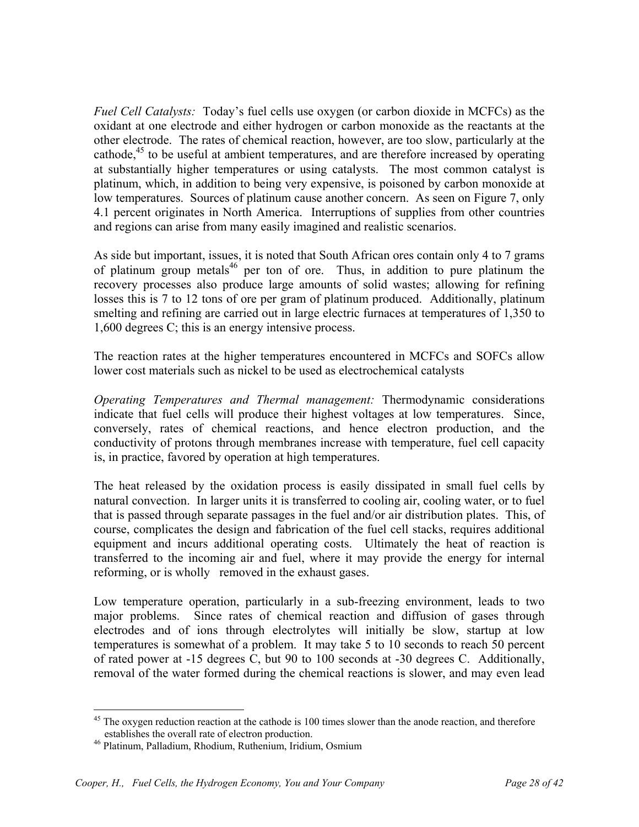*Fuel Cell Catalysts:* Today's fuel cells use oxygen (or carbon dioxide in MCFCs) as the oxidant at one electrode and either hydrogen or carbon monoxide as the reactants at the other electrode. The rates of chemical reaction, however, are too slow, particularly at the cathode, $45$  to be useful at ambient temperatures, and are therefore increased by operating at substantially higher temperatures or using catalysts. The most common catalyst is platinum, which, in addition to being very expensive, is poisoned by carbon monoxide at low temperatures. Sources of platinum cause another concern. As seen on Figure 7, only 4.1 percent originates in North America. Interruptions of supplies from other countries and regions can arise from many easily imagined and realistic scenarios.

As side but important, issues, it is noted that South African ores contain only 4 to 7 grams of platinum group metals<sup>46</sup> per ton of ore. Thus, in addition to pure platinum the recovery processes also produce large amounts of solid wastes; allowing for refining losses this is 7 to 12 tons of ore per gram of platinum produced. Additionally, platinum smelting and refining are carried out in large electric furnaces at temperatures of 1,350 to 1,600 degrees C; this is an energy intensive process.

The reaction rates at the higher temperatures encountered in MCFCs and SOFCs allow lower cost materials such as nickel to be used as electrochemical catalysts

*Operating Temperatures and Thermal management:* Thermodynamic considerations indicate that fuel cells will produce their highest voltages at low temperatures. Since, conversely, rates of chemical reactions, and hence electron production, and the conductivity of protons through membranes increase with temperature, fuel cell capacity is, in practice, favored by operation at high temperatures.

The heat released by the oxidation process is easily dissipated in small fuel cells by natural convection. In larger units it is transferred to cooling air, cooling water, or to fuel that is passed through separate passages in the fuel and/or air distribution plates. This, of course, complicates the design and fabrication of the fuel cell stacks, requires additional equipment and incurs additional operating costs. Ultimately the heat of reaction is transferred to the incoming air and fuel, where it may provide the energy for internal reforming, or is wholly removed in the exhaust gases.

Low temperature operation, particularly in a sub-freezing environment, leads to two major problems. Since rates of chemical reaction and diffusion of gases through electrodes and of ions through electrolytes will initially be slow, startup at low temperatures is somewhat of a problem. It may take 5 to 10 seconds to reach 50 percent of rated power at -15 degrees C, but 90 to 100 seconds at -30 degrees C. Additionally, removal of the water formed during the chemical reactions is slower, and may even lead

 $\overline{a}$ <sup>45</sup> The oxygen reduction reaction at the cathode is 100 times slower than the anode reaction, and therefore establishes the overall rate of electron production.

<sup>46</sup> Platinum, Palladium, Rhodium, Ruthenium, Iridium, Osmium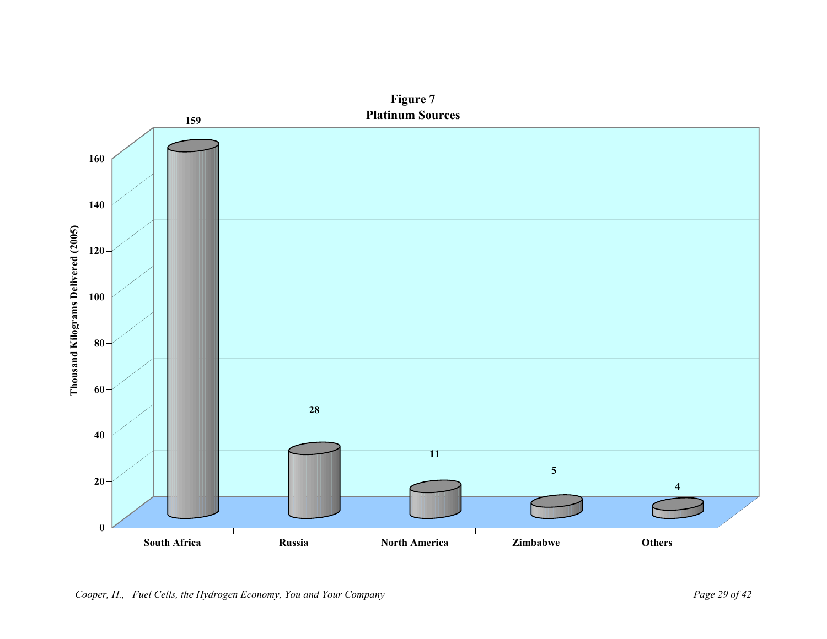

**Figure 7**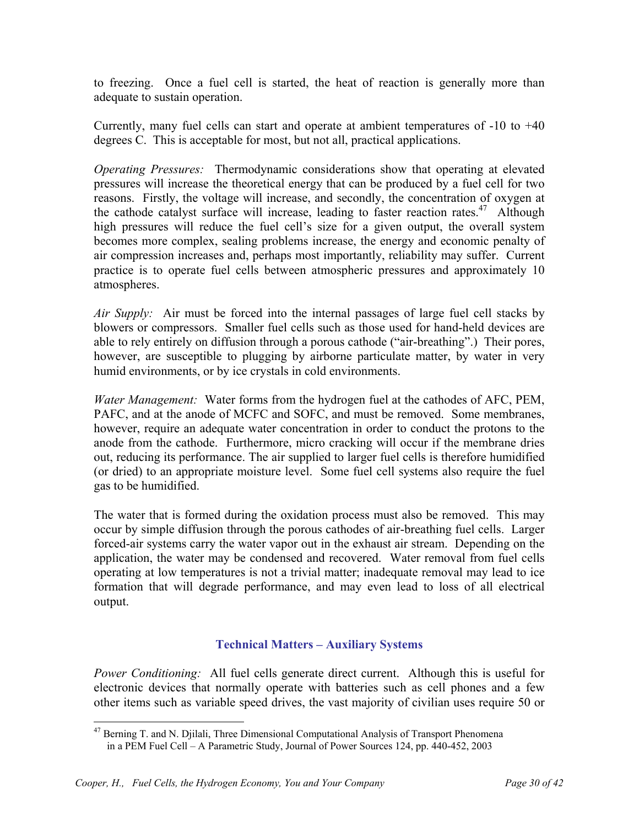to freezing. Once a fuel cell is started, the heat of reaction is generally more than adequate to sustain operation.

Currently, many fuel cells can start and operate at ambient temperatures of -10 to +40 degrees C. This is acceptable for most, but not all, practical applications.

*Operating Pressures:* Thermodynamic considerations show that operating at elevated pressures will increase the theoretical energy that can be produced by a fuel cell for two reasons. Firstly, the voltage will increase, and secondly, the concentration of oxygen at the cathode catalyst surface will increase, leading to faster reaction rates.<sup>47</sup> Although high pressures will reduce the fuel cell's size for a given output, the overall system becomes more complex, sealing problems increase, the energy and economic penalty of air compression increases and, perhaps most importantly, reliability may suffer. Current practice is to operate fuel cells between atmospheric pressures and approximately 10 atmospheres.

*Air Supply:* Air must be forced into the internal passages of large fuel cell stacks by blowers or compressors. Smaller fuel cells such as those used for hand-held devices are able to rely entirely on diffusion through a porous cathode ("air-breathing".) Their pores, however, are susceptible to plugging by airborne particulate matter, by water in very humid environments, or by ice crystals in cold environments.

*Water Management:* Water forms from the hydrogen fuel at the cathodes of AFC, PEM, PAFC, and at the anode of MCFC and SOFC, and must be removed. Some membranes, however, require an adequate water concentration in order to conduct the protons to the anode from the cathode. Furthermore, micro cracking will occur if the membrane dries out, reducing its performance. The air supplied to larger fuel cells is therefore humidified (or dried) to an appropriate moisture level. Some fuel cell systems also require the fuel gas to be humidified.

The water that is formed during the oxidation process must also be removed. This may occur by simple diffusion through the porous cathodes of air-breathing fuel cells. Larger forced-air systems carry the water vapor out in the exhaust air stream. Depending on the application, the water may be condensed and recovered. Water removal from fuel cells operating at low temperatures is not a trivial matter; inadequate removal may lead to ice formation that will degrade performance, and may even lead to loss of all electrical output.

# **Technical Matters – Auxiliary Systems**

*Power Conditioning:* All fuel cells generate direct current. Although this is useful for electronic devices that normally operate with batteries such as cell phones and a few other items such as variable speed drives, the vast majority of civilian uses require 50 or

<sup>1</sup> <sup>47</sup> Berning T. and N. Djilali, Three Dimensional Computational Analysis of Transport Phenomena in a PEM Fuel Cell – A Parametric Study, Journal of Power Sources 124, pp. 440-452, 2003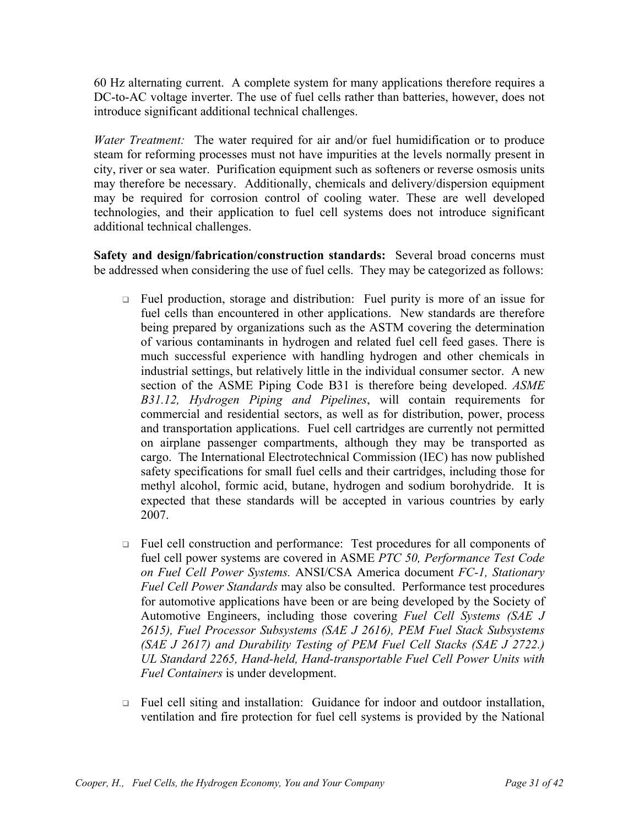60 Hz alternating current. A complete system for many applications therefore requires a DC-to-AC voltage inverter. The use of fuel cells rather than batteries, however, does not introduce significant additional technical challenges.

*Water Treatment:* The water required for air and/or fuel humidification or to produce steam for reforming processes must not have impurities at the levels normally present in city, river or sea water. Purification equipment such as softeners or reverse osmosis units may therefore be necessary. Additionally, chemicals and delivery/dispersion equipment may be required for corrosion control of cooling water. These are well developed technologies, and their application to fuel cell systems does not introduce significant additional technical challenges.

**Safety and design/fabrication/construction standards:** Several broad concerns must be addressed when considering the use of fuel cells. They may be categorized as follows:

- □ Fuel production, storage and distribution: Fuel purity is more of an issue for fuel cells than encountered in other applications. New standards are therefore being prepared by organizations such as the ASTM covering the determination of various contaminants in hydrogen and related fuel cell feed gases. There is much successful experience with handling hydrogen and other chemicals in industrial settings, but relatively little in the individual consumer sector. A new section of the ASME Piping Code B31 is therefore being developed. *ASME B31.12, Hydrogen Piping and Pipelines*, will contain requirements for commercial and residential sectors, as well as for distribution, power, process and transportation applications. Fuel cell cartridges are currently not permitted on airplane passenger compartments, although they may be transported as cargo. The International Electrotechnical Commission (IEC) has now published safety specifications for small fuel cells and their cartridges, including those for methyl alcohol, formic acid, butane, hydrogen and sodium borohydride. It is expected that these standards will be accepted in various countries by early 2007.
- □ Fuel cell construction and performance: Test procedures for all components of fuel cell power systems are covered in ASME *PTC 50, Performance Test Code on Fuel Cell Power Systems.* ANSI/CSA America document *FC-1, Stationary Fuel Cell Power Standards* may also be consulted. Performance test procedures for automotive applications have been or are being developed by the Society of Automotive Engineers, including those covering *Fuel Cell Systems (SAE J 2615), Fuel Processor Subsystems (SAE J 2616), PEM Fuel Stack Subsystems (SAE J 2617) and Durability Testing of PEM Fuel Cell Stacks (SAE J 2722.) UL Standard 2265, Hand-held, Hand-transportable Fuel Cell Power Units with Fuel Containers* is under development.
- Fuel cell siting and installation: Guidance for indoor and outdoor installation, ventilation and fire protection for fuel cell systems is provided by the National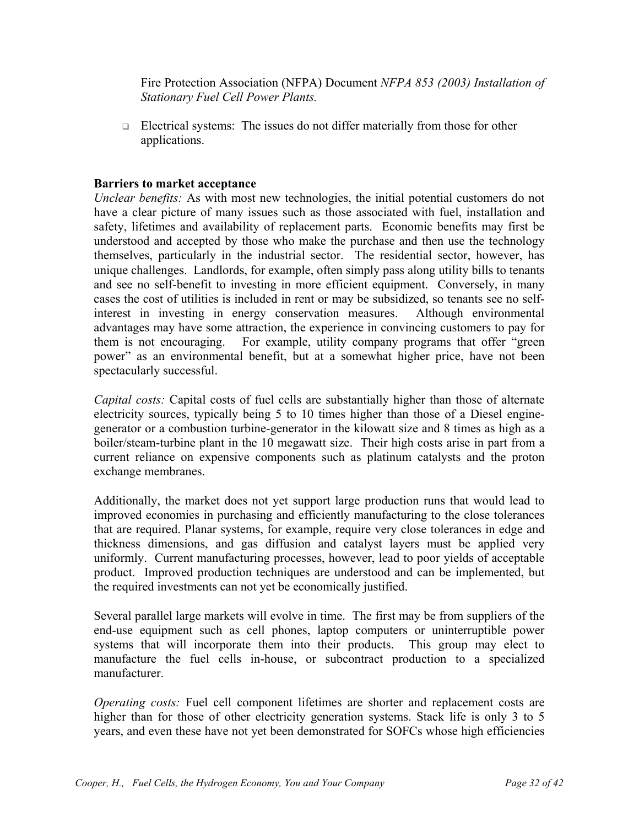Fire Protection Association (NFPA) Document *NFPA 853 (2003) Installation of Stationary Fuel Cell Power Plants.*

 $\Box$  Electrical systems: The issues do not differ materially from those for other applications.

## **Barriers to market acceptance**

*Unclear benefits:* As with most new technologies, the initial potential customers do not have a clear picture of many issues such as those associated with fuel, installation and safety, lifetimes and availability of replacement parts. Economic benefits may first be understood and accepted by those who make the purchase and then use the technology themselves, particularly in the industrial sector. The residential sector, however, has unique challenges. Landlords, for example, often simply pass along utility bills to tenants and see no self-benefit to investing in more efficient equipment. Conversely, in many cases the cost of utilities is included in rent or may be subsidized, so tenants see no selfinterest in investing in energy conservation measures. Although environmental advantages may have some attraction, the experience in convincing customers to pay for them is not encouraging. For example, utility company programs that offer "green power" as an environmental benefit, but at a somewhat higher price, have not been spectacularly successful.

*Capital costs:* Capital costs of fuel cells are substantially higher than those of alternate electricity sources, typically being 5 to 10 times higher than those of a Diesel enginegenerator or a combustion turbine-generator in the kilowatt size and 8 times as high as a boiler/steam-turbine plant in the 10 megawatt size. Their high costs arise in part from a current reliance on expensive components such as platinum catalysts and the proton exchange membranes.

Additionally, the market does not yet support large production runs that would lead to improved economies in purchasing and efficiently manufacturing to the close tolerances that are required. Planar systems, for example, require very close tolerances in edge and thickness dimensions, and gas diffusion and catalyst layers must be applied very uniformly. Current manufacturing processes, however, lead to poor yields of acceptable product. Improved production techniques are understood and can be implemented, but the required investments can not yet be economically justified.

Several parallel large markets will evolve in time. The first may be from suppliers of the end-use equipment such as cell phones, laptop computers or uninterruptible power systems that will incorporate them into their products. This group may elect to manufacture the fuel cells in-house, or subcontract production to a specialized manufacturer.

*Operating costs:* Fuel cell component lifetimes are shorter and replacement costs are higher than for those of other electricity generation systems. Stack life is only 3 to 5 years, and even these have not yet been demonstrated for SOFCs whose high efficiencies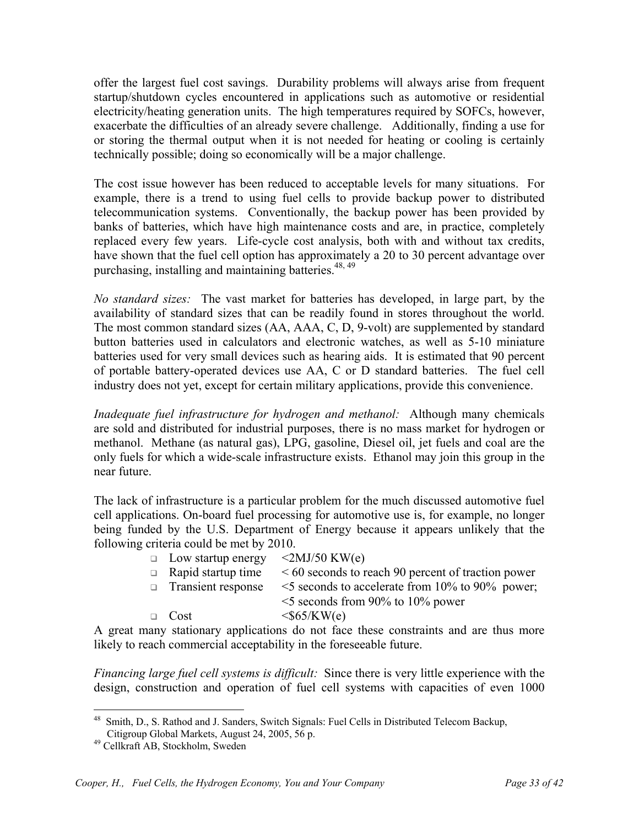offer the largest fuel cost savings. Durability problems will always arise from frequent startup/shutdown cycles encountered in applications such as automotive or residential electricity/heating generation units. The high temperatures required by SOFCs, however, exacerbate the difficulties of an already severe challenge. Additionally, finding a use for or storing the thermal output when it is not needed for heating or cooling is certainly technically possible; doing so economically will be a major challenge.

The cost issue however has been reduced to acceptable levels for many situations. For example, there is a trend to using fuel cells to provide backup power to distributed telecommunication systems. Conventionally, the backup power has been provided by banks of batteries, which have high maintenance costs and are, in practice, completely replaced every few years. Life-cycle cost analysis, both with and without tax credits, have shown that the fuel cell option has approximately a 20 to 30 percent advantage over purchasing, installing and maintaining batteries.<sup>48, 49</sup>

*No standard sizes:* The vast market for batteries has developed, in large part, by the availability of standard sizes that can be readily found in stores throughout the world. The most common standard sizes (AA, AAA, C, D, 9-volt) are supplemented by standard button batteries used in calculators and electronic watches, as well as 5-10 miniature batteries used for very small devices such as hearing aids. It is estimated that 90 percent of portable battery-operated devices use AA, C or D standard batteries. The fuel cell industry does not yet, except for certain military applications, provide this convenience.

*Inadequate fuel infrastructure for hydrogen and methanol:* Although many chemicals are sold and distributed for industrial purposes, there is no mass market for hydrogen or methanol. Methane (as natural gas), LPG, gasoline, Diesel oil, jet fuels and coal are the only fuels for which a wide-scale infrastructure exists. Ethanol may join this group in the near future.

The lack of infrastructure is a particular problem for the much discussed automotive fuel cell applications. On-board fuel processing for automotive use is, for example, no longer being funded by the U.S. Department of Energy because it appears unlikely that the following criteria could be met by 2010.

| $\Box$ Low startup energy | $\langle 2MJ/50$ KW(e)                                  |
|---------------------------|---------------------------------------------------------|
| $\Box$ Rapid startup time | $\leq 60$ seconds to reach 90 percent of traction power |
| <b>Transient response</b> | $\leq$ 5 seconds to accelerate from 10% to 90% power;   |
|                           | $\leq$ seconds from 90% to 10% power                    |
| $\Box$ Cost               | $<$ \$65/KW(e)                                          |

A great many stationary applications do not face these constraints and are thus more likely to reach commercial acceptability in the foreseeable future.

*Financing large fuel cell systems is difficult:* Since there is very little experience with the design, construction and operation of fuel cell systems with capacities of even 1000

<sup>1</sup> <sup>48</sup> Smith, D., S. Rathod and J. Sanders, Switch Signals: Fuel Cells in Distributed Telecom Backup, Citigroup Global Markets, August 24, 2005, 56 p.

<sup>49</sup> Cellkraft AB, Stockholm, Sweden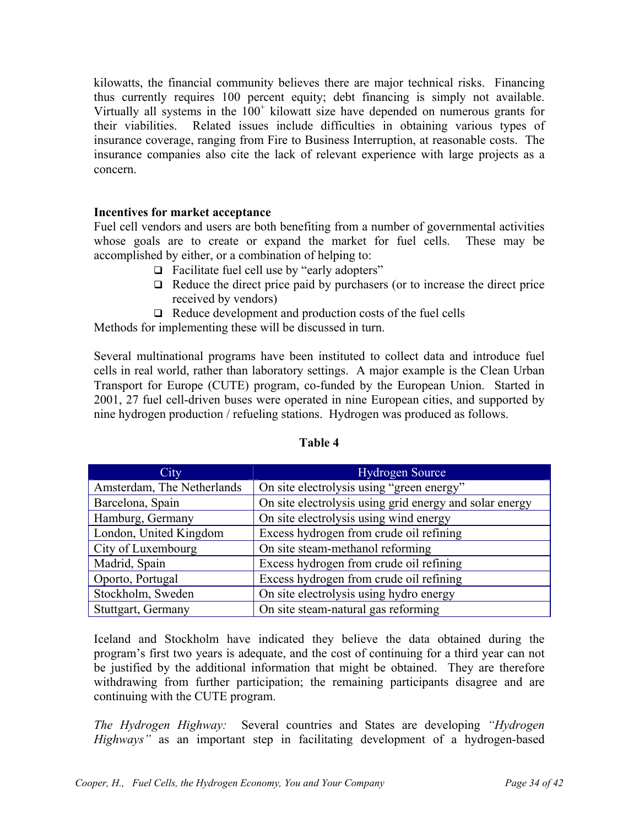kilowatts, the financial community believes there are major technical risks. Financing thus currently requires 100 percent equity; debt financing is simply not available. Virtually all systems in the  $100<sup>+</sup>$  kilowatt size have depended on numerous grants for their viabilities. Related issues include difficulties in obtaining various types of insurance coverage, ranging from Fire to Business Interruption, at reasonable costs. The insurance companies also cite the lack of relevant experience with large projects as a concern.

## **Incentives for market acceptance**

Fuel cell vendors and users are both benefiting from a number of governmental activities whose goals are to create or expand the market for fuel cells. These may be accomplished by either, or a combination of helping to:

- $\Box$  Facilitate fuel cell use by "early adopters"
- $\Box$  Reduce the direct price paid by purchasers (or to increase the direct price received by vendors)
- $\Box$  Reduce development and production costs of the fuel cells

Methods for implementing these will be discussed in turn.

Several multinational programs have been instituted to collect data and introduce fuel cells in real world, rather than laboratory settings. A major example is the Clean Urban Transport for Europe (CUTE) program, co-funded by the European Union. Started in 2001, 27 fuel cell-driven buses were operated in nine European cities, and supported by nine hydrogen production / refueling stations. Hydrogen was produced as follows.

| City                       | <b>Hydrogen Source</b>                                  |
|----------------------------|---------------------------------------------------------|
| Amsterdam, The Netherlands | On site electrolysis using "green energy"               |
| Barcelona, Spain           | On site electrolysis using grid energy and solar energy |
| Hamburg, Germany           | On site electrolysis using wind energy                  |
| London, United Kingdom     | Excess hydrogen from crude oil refining                 |
| City of Luxembourg         | On site steam-methanol reforming                        |
| Madrid, Spain              | Excess hydrogen from crude oil refining                 |
| Oporto, Portugal           | Excess hydrogen from crude oil refining                 |
| Stockholm, Sweden          | On site electrolysis using hydro energy                 |
| Stuttgart, Germany         | On site steam-natural gas reforming                     |

#### **Table 4**

Iceland and Stockholm have indicated they believe the data obtained during the program's first two years is adequate, and the cost of continuing for a third year can not be justified by the additional information that might be obtained. They are therefore withdrawing from further participation; the remaining participants disagree and are continuing with the CUTE program.

*The Hydrogen Highway:* Several countries and States are developing *"Hydrogen Highways*" as an important step in facilitating development of a hydrogen-based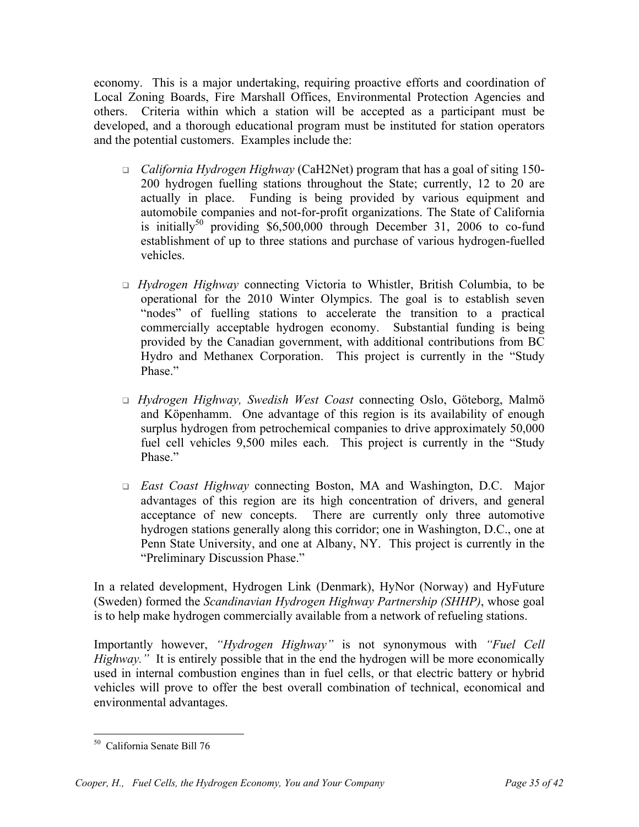economy. This is a major undertaking, requiring proactive efforts and coordination of Local Zoning Boards, Fire Marshall Offices, Environmental Protection Agencies and others. Criteria within which a station will be accepted as a participant must be developed, and a thorough educational program must be instituted for station operators and the potential customers. Examples include the:

- *California Hydrogen Highway* (CaH2Net) program that has a goal of siting 150- 200 hydrogen fuelling stations throughout the State; currently, 12 to 20 are actually in place. Funding is being provided by various equipment and automobile companies and not-for-profit organizations. The State of California is initially<sup>50</sup> providing \$6,500,000 through December 31, 2006 to co-fund establishment of up to three stations and purchase of various hydrogen-fuelled vehicles.
- *Hydrogen Highway* connecting Victoria to Whistler, British Columbia, to be operational for the 2010 Winter Olympics. The goal is to establish seven "nodes" of fuelling stations to accelerate the transition to a practical commercially acceptable hydrogen economy. Substantial funding is being provided by the Canadian government, with additional contributions from BC Hydro and Methanex Corporation. This project is currently in the "Study Phase."
- *Hydrogen Highway, Swedish West Coast* connecting Oslo, Göteborg, Malmö and Köpenhamm. One advantage of this region is its availability of enough surplus hydrogen from petrochemical companies to drive approximately 50,000 fuel cell vehicles 9,500 miles each. This project is currently in the "Study Phase."
- *East Coast Highway* connecting Boston, MA and Washington, D.C. Major advantages of this region are its high concentration of drivers, and general acceptance of new concepts. There are currently only three automotive hydrogen stations generally along this corridor; one in Washington, D.C., one at Penn State University, and one at Albany, NY. This project is currently in the "Preliminary Discussion Phase."

In a related development, Hydrogen Link (Denmark), HyNor (Norway) and HyFuture (Sweden) formed the *Scandinavian Hydrogen Highway Partnership (SHHP)*, whose goal is to help make hydrogen commercially available from a network of refueling stations.

Importantly however, *"Hydrogen Highway"* is not synonymous with *"Fuel Cell Highway.*" It is entirely possible that in the end the hydrogen will be more economically used in internal combustion engines than in fuel cells, or that electric battery or hybrid vehicles will prove to offer the best overall combination of technical, economical and environmental advantages.

 $\overline{a}$ 50 California Senate Bill 76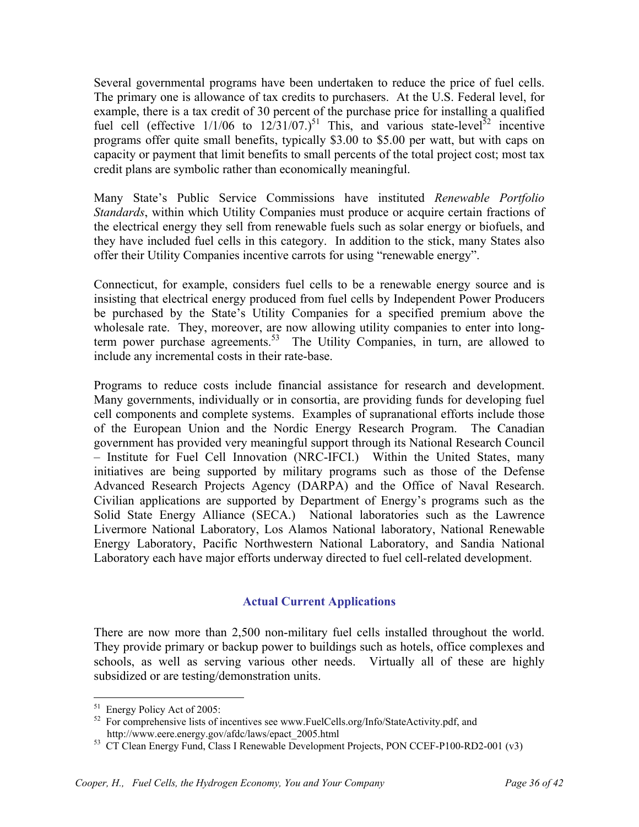Several governmental programs have been undertaken to reduce the price of fuel cells. The primary one is allowance of tax credits to purchasers. At the U.S. Federal level, for example, there is a tax credit of 30 percent of the purchase price for installing a qualified fuel cell (effective  $1/1/06$  to  $12/31/07$ .)<sup>51</sup> This, and various state-level<sup>52</sup> incentive programs offer quite small benefits, typically \$3.00 to \$5.00 per watt, but with caps on capacity or payment that limit benefits to small percents of the total project cost; most tax credit plans are symbolic rather than economically meaningful.

Many State's Public Service Commissions have instituted *Renewable Portfolio Standards*, within which Utility Companies must produce or acquire certain fractions of the electrical energy they sell from renewable fuels such as solar energy or biofuels, and they have included fuel cells in this category. In addition to the stick, many States also offer their Utility Companies incentive carrots for using "renewable energy".

Connecticut, for example, considers fuel cells to be a renewable energy source and is insisting that electrical energy produced from fuel cells by Independent Power Producers be purchased by the State's Utility Companies for a specified premium above the wholesale rate. They, moreover, are now allowing utility companies to enter into longterm power purchase agreements.<sup>53</sup> The Utility Companies, in turn, are allowed to include any incremental costs in their rate-base.

Programs to reduce costs include financial assistance for research and development. Many governments, individually or in consortia, are providing funds for developing fuel cell components and complete systems. Examples of supranational efforts include those of the European Union and the Nordic Energy Research Program. The Canadian government has provided very meaningful support through its National Research Council – Institute for Fuel Cell Innovation (NRC-IFCI.) Within the United States, many initiatives are being supported by military programs such as those of the Defense Advanced Research Projects Agency (DARPA) and the Office of Naval Research. Civilian applications are supported by Department of Energy's programs such as the Solid State Energy Alliance (SECA.) National laboratories such as the Lawrence Livermore National Laboratory, Los Alamos National laboratory, National Renewable Energy Laboratory, Pacific Northwestern National Laboratory, and Sandia National Laboratory each have major efforts underway directed to fuel cell-related development.

# **Actual Current Applications**

There are now more than 2,500 non-military fuel cells installed throughout the world. They provide primary or backup power to buildings such as hotels, office complexes and schools, as well as serving various other needs. Virtually all of these are highly subsidized or are testing/demonstration units.

 $\overline{a}$ 

<sup>&</sup>lt;sup>51</sup> Energy Policy Act of 2005:

<sup>&</sup>lt;sup>52</sup> For comprehensive lists of incentives see www.FuelCells.org/Info/StateActivity.pdf, and http://www.eere.energy.gov/afdc/laws/epact\_2005.html

<sup>&</sup>lt;sup>53</sup> CT Clean Energy Fund, Class I Renewable Development Projects, PON CCEF-P100-RD2-001 (v3)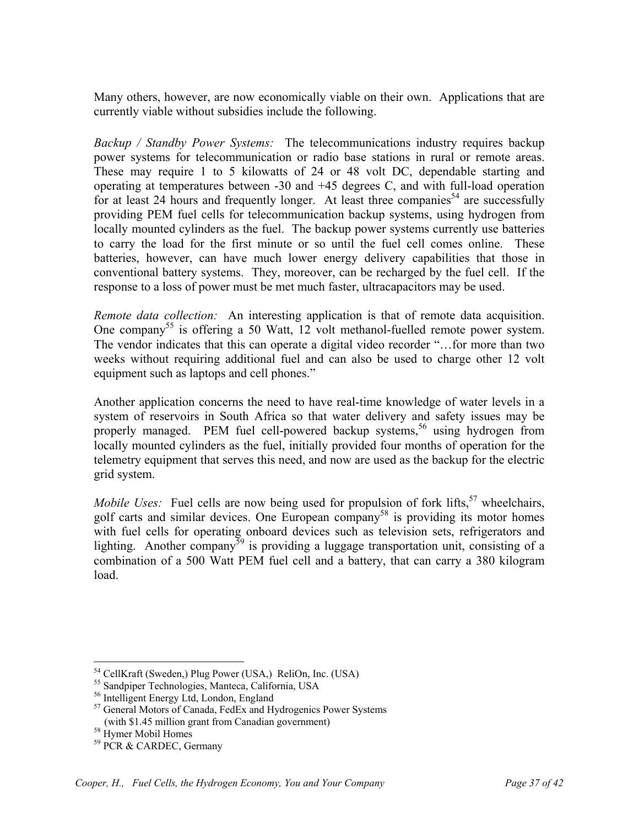Many others, however, are now economically viable on their own. Applications that are currently viable without subsidies include the following.

*Backup / Standby Power Systems:* The telecommunications industry requires backup power systems for telecommunication or radio base stations in rural or remote areas. These may require 1 to 5 kilowatts of 24 or 48 volt DC, dependable starting and operating at temperatures between -30 and +45 degrees C, and with full-load operation for at least 24 hours and frequently longer. At least three companies<sup>54</sup> are successfully providing PEM fuel cells for telecommunication backup systems, using hydrogen from locally mounted cylinders as the fuel. The backup power systems currently use batteries to carry the load for the first minute or so until the fuel cell comes online. These batteries, however, can have much lower energy delivery capabilities that those in conventional battery systems. They, moreover, can be recharged by the fuel cell. If the response to a loss of power must be met much faster, ultracapacitors may be used.

*Remote data collection:* An interesting application is that of remote data acquisition. One company<sup>55</sup> is offering a 50 Watt, 12 volt methanol-fuelled remote power system. The vendor indicates that this can operate a digital video recorder "…for more than two weeks without requiring additional fuel and can also be used to charge other 12 volt equipment such as laptops and cell phones."

Another application concerns the need to have real-time knowledge of water levels in a system of reservoirs in South Africa so that water delivery and safety issues may be properly managed. PEM fuel cell-powered backup systems,<sup>56</sup> using hydrogen from locally mounted cylinders as the fuel, initially provided four months of operation for the telemetry equipment that serves this need, and now are used as the backup for the electric grid system.

*Mobile Uses:* Fuel cells are now being used for propulsion of fork lifts,<sup>57</sup> wheelchairs, golf carts and similar devices. One European company<sup>58</sup> is providing its motor homes with fuel cells for operating onboard devices such as television sets, refrigerators and lighting. Another company<sup>59</sup> is providing a luggage transportation unit, consisting of a combination of a 500 Watt PEM fuel cell and a battery, that can carry a 380 kilogram load.

 $\overline{a}$ 

<sup>54</sup> CellKraft (Sweden,) Plug Power (USA,) ReliOn, Inc. (USA)

<sup>&</sup>lt;sup>55</sup> Sandpiper Technologies, Manteca, California, USA

<sup>56</sup> Intelligent Energy Ltd, London, England

<sup>57</sup> General Motors of Canada, FedEx and Hydrogenics Power Systems (with \$1.45 million grant from Canadian government)

<sup>58</sup> Hymer Mobil Homes

<sup>59</sup> PCR & CARDEC, Germany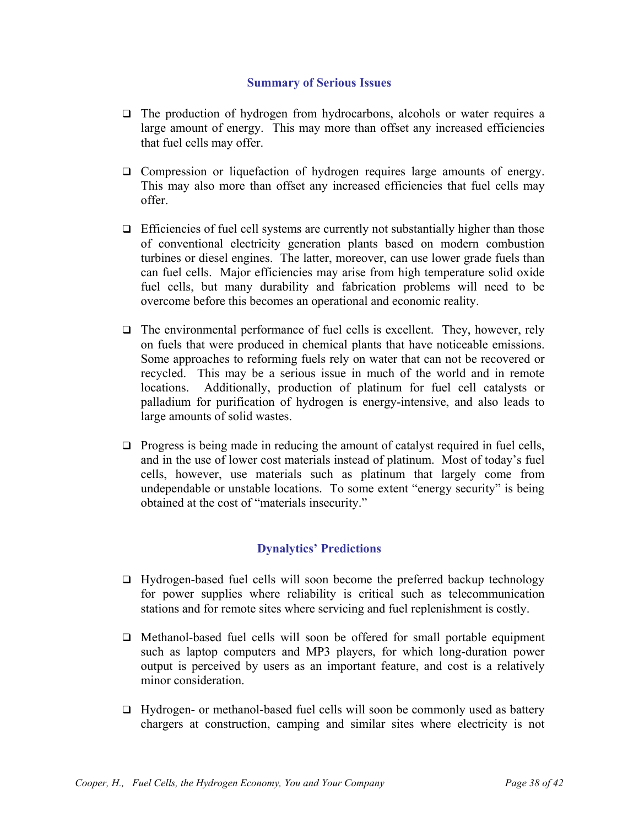#### **Summary of Serious Issues**

- $\Box$  The production of hydrogen from hydrocarbons, alcohols or water requires a large amount of energy. This may more than offset any increased efficiencies that fuel cells may offer.
- Compression or liquefaction of hydrogen requires large amounts of energy. This may also more than offset any increased efficiencies that fuel cells may offer.
- $\Box$  Efficiencies of fuel cell systems are currently not substantially higher than those of conventional electricity generation plants based on modern combustion turbines or diesel engines. The latter, moreover, can use lower grade fuels than can fuel cells. Major efficiencies may arise from high temperature solid oxide fuel cells, but many durability and fabrication problems will need to be overcome before this becomes an operational and economic reality.
- $\Box$  The environmental performance of fuel cells is excellent. They, however, rely on fuels that were produced in chemical plants that have noticeable emissions. Some approaches to reforming fuels rely on water that can not be recovered or recycled. This may be a serious issue in much of the world and in remote locations. Additionally, production of platinum for fuel cell catalysts or palladium for purification of hydrogen is energy-intensive, and also leads to large amounts of solid wastes.
- $\Box$  Progress is being made in reducing the amount of catalyst required in fuel cells, and in the use of lower cost materials instead of platinum. Most of today's fuel cells, however, use materials such as platinum that largely come from undependable or unstable locations. To some extent "energy security" is being obtained at the cost of "materials insecurity."

# **Dynalytics' Predictions**

- $\Box$  Hydrogen-based fuel cells will soon become the preferred backup technology for power supplies where reliability is critical such as telecommunication stations and for remote sites where servicing and fuel replenishment is costly.
- $\Box$  Methanol-based fuel cells will soon be offered for small portable equipment such as laptop computers and MP3 players, for which long-duration power output is perceived by users as an important feature, and cost is a relatively minor consideration.
- $\Box$  Hydrogen- or methanol-based fuel cells will soon be commonly used as battery chargers at construction, camping and similar sites where electricity is not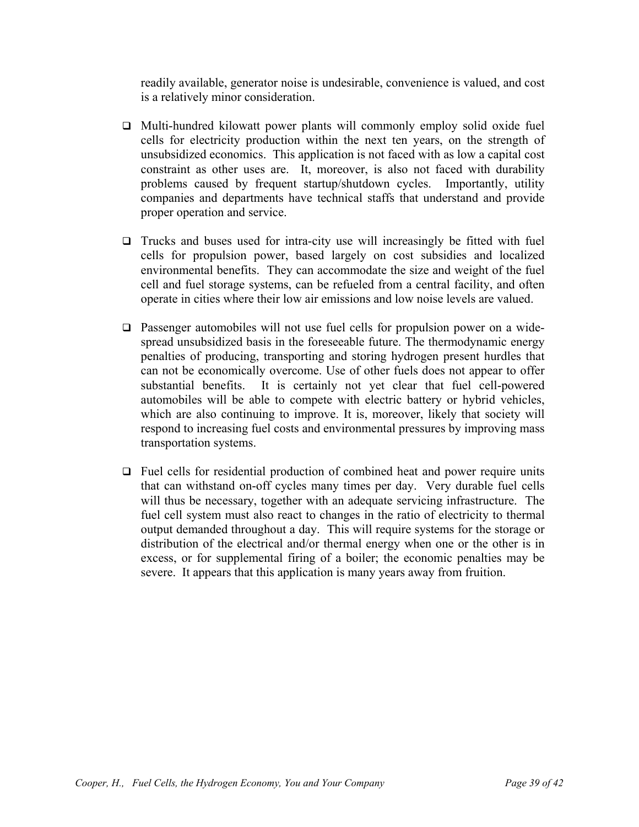readily available, generator noise is undesirable, convenience is valued, and cost is a relatively minor consideration.

- $\Box$  Multi-hundred kilowatt power plants will commonly employ solid oxide fuel cells for electricity production within the next ten years, on the strength of unsubsidized economics. This application is not faced with as low a capital cost constraint as other uses are. It, moreover, is also not faced with durability problems caused by frequent startup/shutdown cycles. Importantly, utility companies and departments have technical staffs that understand and provide proper operation and service.
- $\Box$  Trucks and buses used for intra-city use will increasingly be fitted with fuel cells for propulsion power, based largely on cost subsidies and localized environmental benefits. They can accommodate the size and weight of the fuel cell and fuel storage systems, can be refueled from a central facility, and often operate in cities where their low air emissions and low noise levels are valued.
- Passenger automobiles will not use fuel cells for propulsion power on a widespread unsubsidized basis in the foreseeable future. The thermodynamic energy penalties of producing, transporting and storing hydrogen present hurdles that can not be economically overcome. Use of other fuels does not appear to offer substantial benefits. It is certainly not yet clear that fuel cell-powered automobiles will be able to compete with electric battery or hybrid vehicles, which are also continuing to improve. It is, moreover, likely that society will respond to increasing fuel costs and environmental pressures by improving mass transportation systems.
- $\Box$  Fuel cells for residential production of combined heat and power require units that can withstand on-off cycles many times per day. Very durable fuel cells will thus be necessary, together with an adequate servicing infrastructure. The fuel cell system must also react to changes in the ratio of electricity to thermal output demanded throughout a day. This will require systems for the storage or distribution of the electrical and/or thermal energy when one or the other is in excess, or for supplemental firing of a boiler; the economic penalties may be severe. It appears that this application is many years away from fruition.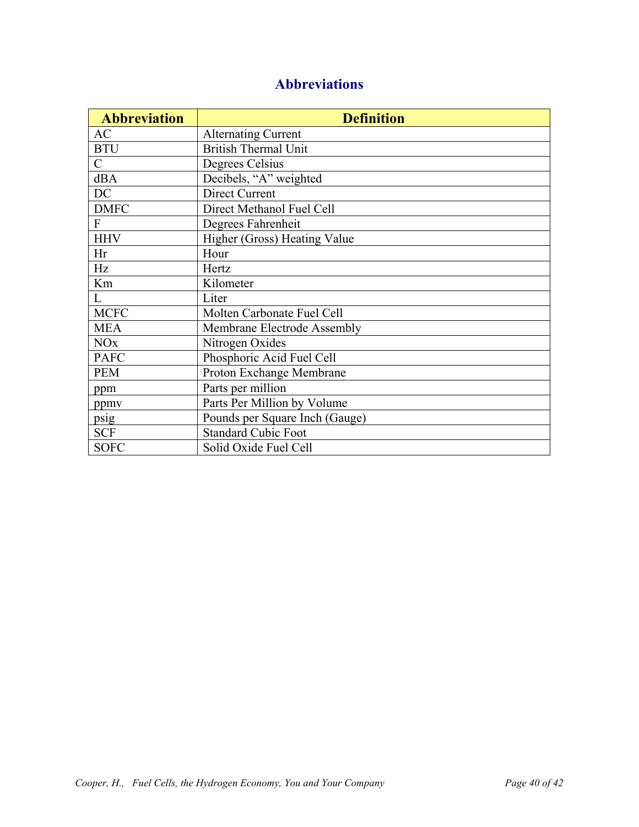# **Abbreviations**

| <b>Abbreviation</b>   | <b>Definition</b>              |
|-----------------------|--------------------------------|
| <b>AC</b>             | <b>Alternating Current</b>     |
| <b>BTU</b>            | <b>British Thermal Unit</b>    |
| $\mathcal{C}$         | Degrees Celsius                |
| dBA                   | Decibels, "A" weighted         |
| DC                    | Direct Current                 |
| <b>DMFC</b>           | Direct Methanol Fuel Cell      |
| $\mathbf{F}$          | Degrees Fahrenheit             |
| <b>HHV</b>            | Higher (Gross) Heating Value   |
| Hr                    | Hour                           |
| Hz                    | Hertz                          |
| Km                    | Kilometer                      |
| L                     | Liter                          |
| <b>MCFC</b>           | Molten Carbonate Fuel Cell     |
| <b>MEA</b>            | Membrane Electrode Assembly    |
| <b>NO<sub>x</sub></b> | Nitrogen Oxides                |
| <b>PAFC</b>           | Phosphoric Acid Fuel Cell      |
| <b>PEM</b>            | Proton Exchange Membrane       |
| ppm                   | Parts per million              |
| ppmv                  | Parts Per Million by Volume    |
| psig                  | Pounds per Square Inch (Gauge) |
| <b>SCF</b>            | <b>Standard Cubic Foot</b>     |
| <b>SOFC</b>           | Solid Oxide Fuel Cell          |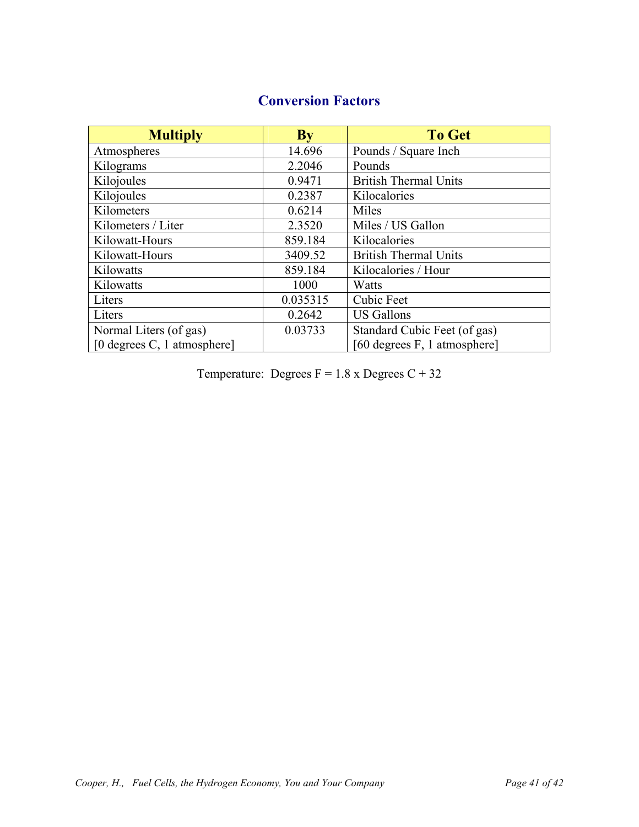| <b>Multiply</b>                | <b>By</b> | <b>To Get</b>                |
|--------------------------------|-----------|------------------------------|
| Atmospheres                    | 14.696    | Pounds / Square Inch         |
| Kilograms                      | 2.2046    | Pounds                       |
| Kilojoules                     | 0.9471    | <b>British Thermal Units</b> |
| Kilojoules                     | 0.2387    | Kilocalories                 |
| Kilometers                     | 0.6214    | Miles                        |
| Kilometers / Liter             | 2.3520    | Miles / US Gallon            |
| Kilowatt-Hours                 | 859.184   | Kilocalories                 |
| Kilowatt-Hours                 | 3409.52   | <b>British Thermal Units</b> |
| Kilowatts                      | 859.184   | Kilocalories / Hour          |
| Kilowatts                      | 1000      | Watts                        |
| Liters                         | 0.035315  | Cubic Feet                   |
| Liters                         | 0.2642    | <b>US Gallons</b>            |
| Normal Liters (of gas)         | 0.03733   | Standard Cubic Feet (of gas) |
| [0 degrees $C$ , 1 atmosphere] |           | [60 degrees F, 1 atmosphere] |

# **Conversion Factors**

Temperature: Degrees  $F = 1.8$  x Degrees  $C + 32$